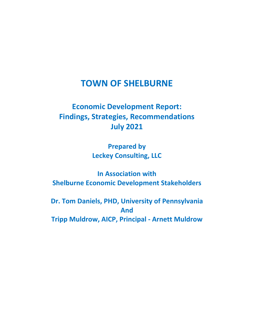# **TOWN OF SHELBURNE**

# **Economic Development Report: Findings, Strategies, Recommendations July 2021**

**Prepared by Leckey Consulting, LLC**

**In Association with Shelburne Economic Development Stakeholders**

**Dr. Tom Daniels, PHD, University of Pennsylvania And Tripp Muldrow, AICP, Principal - Arnett Muldrow**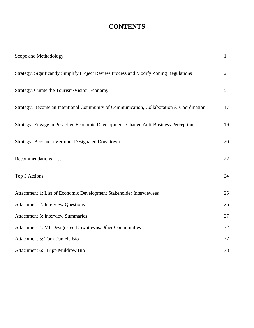# **CONTENTS**

| Scope and Methodology                                                                    | $\mathbf{1}$   |
|------------------------------------------------------------------------------------------|----------------|
| Strategy: Significantly Simplify Project Review Process and Modify Zoning Regulations    | $\overline{2}$ |
| Strategy: Curate the Tourism/Visitor Economy                                             | 5              |
| Strategy: Become an Intentional Community of Communication, Collaboration & Coordination | 17             |
| Strategy: Engage in Proactive Economic Development. Change Anti-Business Perception      | 19             |
| <b>Strategy: Become a Vermont Designated Downtown</b>                                    | 20             |
| <b>Recommendations List</b>                                                              | 22             |
| Top 5 Actions                                                                            | 24             |
| Attachment 1: List of Economic Development Stakeholder Interviewees                      | 25             |
| <b>Attachment 2: Interview Questions</b>                                                 | 26             |
| <b>Attachment 3: Interview Summaries</b>                                                 | 27             |
| Attachment 4: VT Designated Downtowns/Other Communities                                  | 72             |
| <b>Attachment 5: Tom Daniels Bio</b>                                                     | 77             |
| Attachment 6: Tripp Muldrow Bio                                                          | 78             |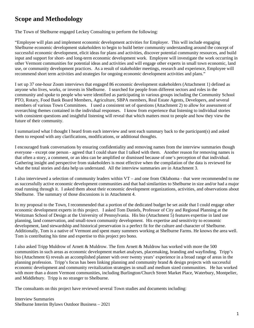## **Scope and Methodology**

The Town of Shelburne engaged Leckey Consulting to perform the following:

"Employee will plan and implement economic development activities for Employer. This will include engaging Shelburne economic development stakeholders to begin to build better community understanding around the concept of successful economic development, elicit ideas for plans and activities, discover potential community resources, and build input and support for short- and long-term economic development work. Employee will investigate the work occurring in other Vermont communities for potential ideas and activities and will engage other experts in small town economic, land use, or community development practices. As a result of stakeholder meetings, research and experience, Employee will recommend short term activities and strategies for ongoing economic development activities and plans."

I set up 37 one-hour Zoom interviews that engaged 86 economic development stakeholders (Attachment 1) defined as anyone who lives, works, or invests in Shelburne. I searched for people from different sectors and roles in the community and spoke to people who were identified as participating in various groups including the Community School PTO, Rotary, Food Bank Board Members, Agriculture, SBPA members, Real Estate Agents, Developers, and several members of various Town Committees. I used a consistent set of questions (Attachment 2) to allow for assessment of overarching themes contained in the individual responses. I know from experience that listening to individual stories with consistent questions and insightful listening will reveal that which matters most to people and how they view the future of their community.

I summarized what I thought I heard from each interview and sent each summary back to the participant(s) and asked them to respond with any clarifications, modifications, or additional thoughts.

I encouraged frank conversations by ensuring confidentiality and removing names from the interview summaries though everyone - except one person - agreed that I could share that I talked with them. Another reason for removing names is that often a story, a comment, or an idea can be amplified or dismissed because of one's perception of that individual. Gathering insight and perspective from stakeholders is most effective when the compilation of the data is reviewed for what the total stories and data help us understand. All the interview summaries are in Attachment 3.

I also interviewed a selection of community leaders within VT – and one from Oklahoma - that were recommended to me as successfully active economic development communities and that had similarities to Shelburne in size and/or had a major road running through it. I asked them about their economic development organizations, activities, and observations about Shelburne. The summary of those discussions is in Attachment 4.

In my proposal to the Town, I recommended that a portion of the dedicated budget be set aside that I could engage other economic development experts in this project. I asked Tom Daniels, Professor of City and Regional Planning at the Weitzman School of Design at the University of Pennsylvania. His bio (Attachment 5) features expertise in land use planning, land conservation, and small-town community development. His expertise and sensitivity to economic development, land stewardship and historical preservation is a perfect fit for the culture and character of Shelburne. Additionally, Tom is a native of Vermont and spent many summers working at Shelburne Farms. He knows the area well. Tom is contributing his time and expertise to this project pro bono.

I also asked Tripp Muldrow of Arnett & Muldrow. The firm Arnett & Muldrow has worked with more the 500 communities in such areas as economic development market analyses, placemaking, branding and wayfinding. Tripp's bio (Attachment 6) reveals an accomplished planner with over twenty years' experience in a broad range of areas in the planning profession. Tripp's focus has been linking planning and community brand & design projects with successful economic development and community revitalization strategies in small and medium sized communities. He has worked with more than a dozen Vermont communities, including Burlington/Church Street Market Place, Waterbury, Montpelier, and Middlebury. Tripp is no stranger to Shelburne.

The consultants on this project have reviewed several Town studies and documents including:

Interview Summaries Shelburne Interim Bylaws Outdoor Business – 2021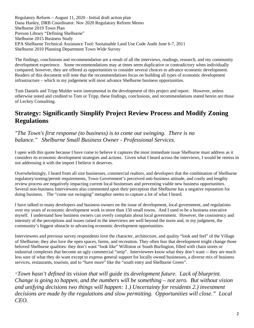Regulatory Reform – August 11, 2020 - Initial draft action plan Dana Hanley, DRB Coordinator. Nov 2020 Regulatory Reform Memo Shelburne 2019 Town Plan Pierson Library "Defining Shelburne" Shelburne 2015 Business Study EPA Shelburne Technical Assistance Tool: Sustainable Land Use Code Audit June 6-7, 2011 Shelburne 2010 Planning Department Town Wide Survey

The findings, conclusions and recommendation are a result of all the interviews, readings, research, and my community development experience. Some recommendations may at times seem duplicative or contradictory when individually compared; however, they are offered as opportunities to consider several choices to advance economic development. Readers of this document will note that the recommendations focus on building all types of economic development infrastructure – which in my judgement will most advance Shelburne business opportunities.

Tom Daniels and Tripp Mulder were instrumental in the development of this project and report. However, unless otherwise noted and credited to Tom or Tripp, these findings, conclusions, and recommendations stated herein are those of Leckey Consulting.

## **Strategy: Significantly Simplify Project Review Process and Modify Zoning Regulations**

#### *"The Town's first response (to business) is to come out swinging. There is no balance." Shelburne Small Business Owner - Professional Services.*

I open with this quote because I have come to believe it captures the most immediate issue Shelburne must address as it considers its economic development strategies and actions. Given what I heard across the interviews, I would be remiss in not addressing it with the import I believe it deserves.

Overwhelmingly, I heard from all size businesses, commercial realtors, and developers that the combination of Shelburne regulatory/zoning/permit requirements, Town Government's perceived anti-business attitude, and costly and lengthy review process are negatively impacting current local businesses and preventing viable new business opportunities. Several non-business Interviewees also commented upon their perception that Shelburne has a negative reputation for doing business. The "come out swinging" metaphor seems to capture a lot of what I heard.

I have talked to many developers and business owners on the issue of development, local government, and regulations over my years of economic development work in more than 150 small towns. And I used to be a business executive myself. I understand how business owners can overly complain about local government. However, the consistency and intensity of the perceptions and issues raised in the interviews are well beyond the norm and, in my judgment, the community's biggest obstacle to advancing economic development opportunities.

Interviewees and previous survey respondents love the character, architecture, and quality "look and feel" of the Village of Shelburne; they also love the open spaces, farms, and recreation. They often fear that development might change those beloved Shelburne qualities: they don't want "look like" Williston or South Burlington, filled with chain stores or industrial complexes that become an ugly commercial "strip". Interviewees know what they don't want -- they are much less sure of what they do want except to express general support for locally owned businesses, a diverse mix of business services, restaurants, tourism, and to "have more" like the "south entry and Shelburne Green".

*"Town hasn't defined its vision that will guide its development future. Lack of blueprint. Change is going to happen, and the numbers will be something – not zero. But without vision and unifying decisions two things will happen: 1.) Uncertainty for residents 2.) investment decisions are made by the regulations and slow permitting. Opportunities will close." Local CEO.*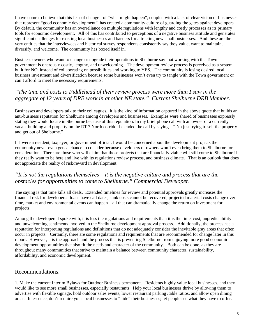I have come to believe that this fear of change - of "what might happen", coupled with a lack of clear vision of businesses that represent "good economic development", has created a community culture of guarding the gates against developers. By default, the community has an overreliance on multiple regulations with lengthy and costly processes as its primary tools for economic development. All of this has contributed to perceptions of a negative business attitude and generates significant challenges for existing local businesses and barriers for attracting new small businesses. And these are the very entities that the interviewees and historical survey respondents consistently say they value, want to maintain, diversify, and welcome. The community has boxed itself in.

Business owners who want to change or upgrade their operations in Shelburne say that working with the Town government is onerously costly, lengthy, and unwelcoming. The development review process is perceived as a system built for NO, instead of collaborating on possibilities and working to YES. The community is losing desired local business investment and diversification because some businesses won't even try to tangle with the Town government or can't afford to meet the necessary requirements.

### *"The time and costs to Fiddlehead of their review process were more than I saw in the aggregate of 12 years of DRB work in another NE state." Current Shelburne DRB Member.*

Businesses and developers talk to their colleagues. It is the kind of information captured in the above quote that builds an anti-business reputation for Shelburne among developers and businesses. Examples were shared of businesses expressly stating they would locate in Shelburne because of this reputation. In my brief phone call with an owner of a currently vacant building and property on the RT 7 North corridor he ended the call by saying – "I'm just trying to sell the property and get out of Shelburne."

If I were a resident, taxpayer, or government official, I would be concerned about the development projects the community never even gets a chance to consider because developers or owners won't even bring them to Shelburne for consideration. There are those who will claim that those projects that are financially viable will still come to Shelburne if they really want to be here and live with its regulations review process, and business climate. That is an outlook that does not appreciate the reality of risk/reward in development.

### *"It is not the regulations themselves – it is the negative culture and process that are the obstacles for opportunities to come to Shelburne." Commercial Developer.*

The saying is that time kills all deals. Extended timelines for review and potential approvals greatly increases the financial risk for developers: loans have call dates, sunk costs cannot be recovered, projected material costs change over time, market and environmental events can happen – all that can dramatically change the return on investment for projects.

Among the developers I spoke with, it is less the regulations and requirements than it is the time, cost, unpredictability and unwelcoming sentiments involved in the Shelburne development approval process. Additionally, the process has a reputation for interpreting regulations and definitions that do not adequately consider the inevitable gray areas that often occur in projects. Certainly, there are some regulations and requirements that are recommended for change later in this report. However, it is the approach and the process that is preventing Shelburne from enjoying more good economic development opportunities that also fit the needs and character of the community. Both can be done, as they are throughout many communities that strive to maintain a balance between community character, sustainability, affordability, and economic development.

#### Recommendations:

1. Make the current Interim Bylaws for Outdoor Business permanent. Residents highly value local businesses, and they would like to see more small businesses, especially restaurants. Help your local businesses thrive by allowing them to advertise with flexible signage, hold outdoor sales events, lower restaurant parking /table ratios, and allow open dining areas. In essence, don't require your local businesses to "hide" their businesses; let people see what they have to offer.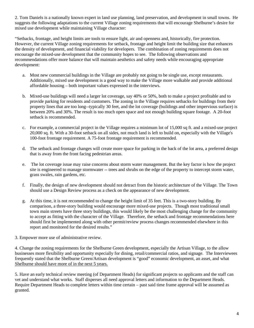2. Tom Daniels is a nationally known expert in land use planning, land preservation, and development in small towns. He suggests the following adaptations to the current Village zoning requirements that will encourage Shelburne's desire for mixed use development while maintaining Village character:

"Setbacks, frontage, and height limits are tools to ensure light, air and openness and, historically, fire protection. However, the current Village zoning requirements for setback, frontage and height limit the building size that enhances the density of development, and financial viability for developers. The combination of zoning requirements does not encourage the mixed-use development that the community hopes to see. The following observations and recommendations offer more balance that will maintain aesthetics and safety needs while encouraging appropriate development:

- a. Most new commercial buildings in the Village are probably not going to be single use, except restaurants. Additionally, mixed use development is a good way to make the Village more walkable and provide additional affordable housing – both important values expressed in the interviews.
- b. Mixed-use buildings will need a larger lot coverage, say 40% or 50%, both to make a project profitable and to provide parking for residents and customers. The zoning in the Village requires setbacks for buildings from their property lines that are too long--typically 30 feet, and the lot coverage (buildings and other impervious surface) is between 20% and 30%. The result is too much open space and not enough building square footage. A 20-foot setback is recommended.
- c. For example, a commercial project in the Village requires a minimum lot of 15,000 sq ft. and a mixed-use project 20,000 sq. ft. With a 30-foot setback on all sides, not much land is left to build on, especially with the Village's 100-foot frontage requirement. A 75-foot frontage requirement is recommended.
- d. The setback and frontage changes will create more space for parking in the back of the lot area, a preferred design that is away from the front facing pedestrian areas.
- e. The lot coverage issue may raise concerns about storm water management. But the key factor is how the project site is engineered to manage stormwater -- trees and shrubs on the edge of the property to intercept storm water, grass swales, rain gardens, etc.
- f. Finally, the design of new development should not detract from the historic architecture of the Village. The Town should use a Design Review process as a check on the appearance of new development.
- g. At this time, it is not recommended to change the height limit of 35 feet. This is a two-story building. By comparison, a three-story building would encourage more mixed-use projects. Though most traditional small town main streets have three story buildings, this would likely be the most challenging change for the community to accept as fitting with the character of the Village. Therefore, the setback and frontage recommendations here should first be implemented along with other permit/review process changes recommended elsewhere in this report and monitored for the desired results."
- 3. Empower more use of administrative review.

4. Change the zoning requirements for the Shelburne Green development, especially the Artisan Village, to the allow businesses more flexibility and opportunity especially for dining, retail/commercial ratios, and signage. The Interviewees frequently stated that the Shelburne Green/Artisan development is "good" economic development, an asset, and what Shelburne should have more of in the next 5 years.

5. Have an early technical review meeting (of Department Heads) for significant projects so applicants and the staff can vet and understand what works. Staff disperses all need approval letters and information to the Department Heads. Require Department Heads to complete letters within time certain – past said time frame approval will be assumed as granted.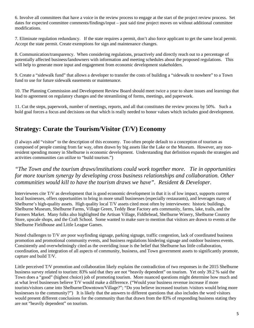6. Involve all committees that have a voice in the review process to engage at the start of the project review process. Set dates for expected committee comments/findings/input – past said time project moves on without additional committee modifications.

7. Eliminate regulation redundancy. If the state requires a permit, don't also force applicant to get the same local permit. Accept the state permit. Create exemptions for sign and maintenance changes.

8. Communication/transparency. When considering regulations, proactively and directly reach out to a percentage of potentially affected business/landowners with information and meeting schedules about the proposed regulations. This will help to generate more input and engagement from economic development stakeholders.

9. Create a "sidewalk fund" that allows a developer to transfer the costs of building a "sidewalk to nowhere" to a Town fund to use for future sidewalk easements or maintenance.

10. The Planning Commission and Development Review Board should meet twice a year to share issues and learnings that lead to agreement on regulatory changes and the streamlining of forms, meetings, and paperwork.

11. Cut the steps, paperwork, number of meetings, reports, and all that constitutes the review process by 50%. Such a bold goal forces a focus and decisions on that which is really needed to honor values which includes good development.

### **Strategy: Curate the Tourism/Visitor (T/V) Economy**

(I always add "visitor" to the description of this economy. Too often people default to a conception of tourism as composed of people coming from far way, often drawn by big assets like the Lake or the Museum. However, any nonresident spending money in Shelburne is economic development. Understanding that definition expands the strategies and activities communities can utilize to "build tourism.")

*"The Town and the tourism draws/institutions could work together more. Tie in opportunities for more tourism synergy by developing cross business relationships and collaboration. Other communities would kill to have the tourism draws we have". Resident & Developer.* 

Interviewees cite T/V as development that is good economic development in that it is of low impact, supports current local businesses, offers opportunities to bring in more small businesses (especially restaurants), and leverages many of Shelburne's high-quality assets. High quality local T/V assets cited most often by interviewees: historic buildings, Shelburne Museum, Shelburne Farms, Village Green, Teddy Bear Factory arts community, farms, lake, trails, and the Farmers Market. Many folks also highlighted the Artisan Village, Fiddlehead, Shelburne Winery, Shelburne Country Store, upscale shops, and the Craft School. Some wanted to make sure to mention that visitors are drawn to events at the Shelburne Fieldhouse and Little League Games.

Noted challenges to T/V are poor wayfinding signage, parking signage, traffic congestion, lack of coordinated business promotion and promotional community events, and business regulations hindering signage and outdoor business events. Consistently and overwhelmingly cited as the overriding issue is the belief that Shelburne has little collaboration, coordination, and integration of all aspects of community, business, and Town government assets to significantly promote, capture and build T/V.

Little perceived T/V promotion and collaboration likely explains the contradiction of two responses in the 2015 Shelburne business survey related to tourism: 83% said that they are not "heavily dependent" on tourism. Yet only 39.2 % said the Town does a "good" (highest choice) job of promoting tourism. More nuanced questions might determine how much and at what level businesses believe T/V would make a difference. ("Would your business revenue increase if more tourists/visitors came into Shelburne/Downtown/Village?"; "Do you believe increased tourism /visitors would bring more businesses to the community?") It is likely that the answers to different questions that also includes the word visitors would present different conclusions for the community than that drawn from the 83% of responding business stating they are not "heavily dependent" on tourism.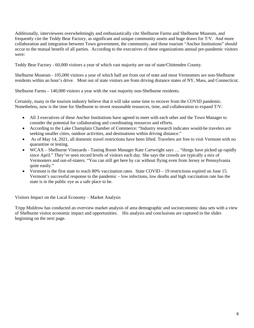Additionally, interviewees overwhelmingly and enthusiastically cite Shelburne Farms and Shelburne Museum, and frequently cite the Teddy Bear Factory, as significant and unique community assets and huge draws for T/V. And more collaboration and integration between Town government, the community, and those tourism "Anchor Institutions" should occur to the mutual benefit of all parties. According to the executives of these organizations annual pre-pandemic visitors were:

Teddy Bear Factory - 60,000 visitors a year of which vast majority are out of state/Chittenden County.

Shelburne Museum - 105,000 visitors a year of which half are from out of state and most Vermonters are non-Shelburne residents within an hour's drive. Most out of state visitors are from driving distance states of NY, Mass, and Connecticut.

Shelburne Farms – 140,000 visitors a year with the vast majority non-Shelburne residents.

Certainly, many in the tourism industry believe that it will take some time to recover from the COVID pandemic. Nonetheless, now is the time for Shelburne to invest reasonable resources, time, and collaboration to expand T/V:

- All 3 executives of these Anchor Institutions have agreed to meet with each other and the Town Manager to consider the potential for collaborating and coordinating resources and efforts.
- According to the Lake Champlain Chamber of Commerce: "Industry research indicates would-be travelers are seeking smaller cities, outdoor activities, and destinations within driving distance."
- As of May 14, 2021, all domestic travel restrictions have been lifted. Travelers are free to visit Vermont with no quarantine or testing.
- WCAX Shelburne Vineyards Tasting Room Manager Kate Cartwright says … "things have picked up rapidly since April." They've seen record levels of visitors each day. She says the crowds are typically a mix of Vermonters and out-of-staters. "You can still get here by car without flying even from Jersey or Pennsylvania quite easily."
- Vermont is the first state to reach 80% vaccination rates. State COVID 19 restrictions expired on June 15. Vermont's successful response to the pandemic – low infections, low deaths and high vaccination rate has the state is in the public eye as a safe place to be.

Visitors Impact on the Local Economy – Market Analysis

Tripp Muldrow has conducted an overview market analysis of area demographic and socioeconomic data sets with a view of Shelburne visitor economic impact and opportunities. His analysis and conclusions are captured in the slides beginning on the next page.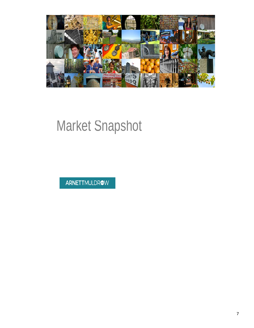

# Market Snapshot

ARNETTMULDROW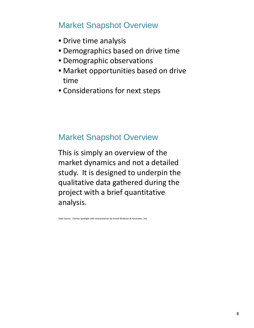# Market Snapshot Overview

- Drive time analysis
- Demographics based on drive time
- Demographic observations
- Market opportunities based on drive time
- Considerations for next steps

# Market Snapshot Overview

This is simply an overview of the market dynamics and not a detailed study. It is designed to underpin the qualitative data gathered during the project with a brief quantitative analysis.

Data Source: Claritas Spotlight with interpretation by Arnett Muldrow & Associates, Ltd.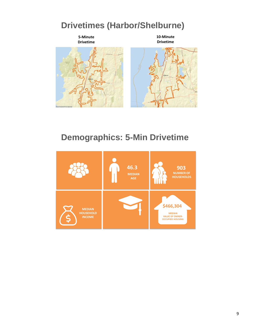# **Drivetimes (Harbor/Shelburne)**



# **Demographics: 5-Min Drivetime**

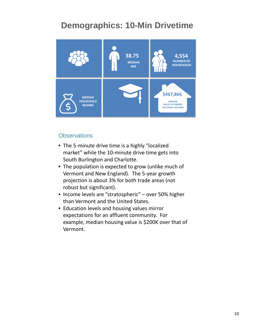# **Demographics: 10-Min Drivetime**



### **Observations**

- The 5-minute drive time is a highly "localized market" while the 10-minute drive time gets into South Burlington and Charlotte.
- The population is expected to grow (unlike much of Vermont and New England). The 5-year growth projection is about 3% for both trade areas (not robust but significant).
- Income levels are "stratospheric" over 50% higher than Vermont and the United States.
- Education levels and housing values mirror expectations for an affluent community. For example, median housing value is \$200K over that of Vermont.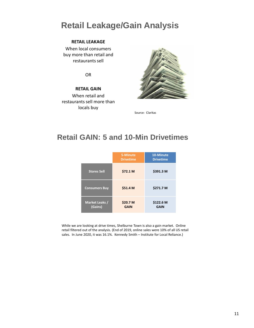# **Retail Leakage/Gain Analysis**

#### **RETAIL LEAKAGE**

When local consumers buy more than retail and restaurants sell

OR

#### **RETAIL GAIN**

When retail and restaurants sell more than locals buy



Source: Claritas

# **Retail GAIN: 5 and 10-Min Drivetimes**

|                           | 5-Minute<br><b>Drivetime</b> | 10-Minute<br><b>Drivetime</b> |
|---------------------------|------------------------------|-------------------------------|
| <b>Stores Sell</b>        | \$72.1 M                     | \$391.3 M                     |
| <b>Consumers Buy</b>      | \$51.4 M                     | \$271.7 M                     |
| Market Leaks /<br>(Gains) | \$20.7 M<br><b>GAIN</b>      | \$122.6 M<br><b>GAIN</b>      |

While we are looking at drive times, Shelburne Town is also a gain market. Online retail filtered out of the analysis. (End of 2019, online sales were 10% of all US retail sales. In June 2020, it was 16.1%. Kennedy Smith – Institute for Local Reliance.)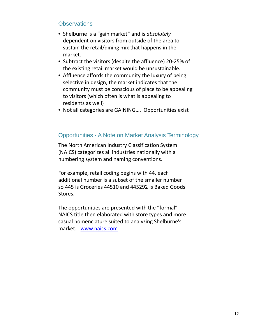### **Observations**

- Shelburne is a "gain market" and is *absolutely* dependent on visitors from outside of the area to sustain the retail/dining mix that happens in the market.
- Subtract the visitors (despite the affluence) 20-25% of the existing retail market would be unsustainable.
- Affluence affords the community the luxury of being selective in design, the market indicates that the community must be conscious of place to be appealing to visitors (which often is what is appealing to residents as well)
- Not all categories are GAINING…. Opportunities exist

### Opportunities - A Note on Market Analysis Terminology

The North American Industry Classification System (NAICS) categorizes all industries nationally with a numbering system and naming conventions.

For example, retail coding begins with 44, each additional number is a subset of the smaller number so 445 is Groceries 44510 and 445292 is Baked Goods Stores.

The opportunities are presented with the "formal" NAICS title then elaborated with store types and more casual nomenclature suited to analyzing Shelburne's market. www.naics.com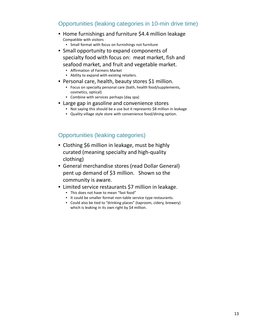### Opportunities (leaking categories in 10-min drive time)

- Home furnishings and furniture \$4.4 million leakage Compatible with visitors
	- Small format with focus on furnishings not furniture
- Small opportunity to expand components of specialty food with focus on: meat market, fish and seafood market, and fruit and vegetable market.
	- Affirmation of Farmers Market
	- Ability to expand with existing retailers.
- Personal care, health, beauty stores \$1 million.
	- Focus on specialty personal care (bath, health food/supplements, cosmetics, optical)
	- Combine with services perhaps (day spa)
- Large gap in gasoline and convenience stores
	- Not saying this should be a use but it represents \$8 million in leakage
	- Quality village style store with convenience food/dining option.

### Opportunities (leaking categories)

- Clothing \$6 million in leakage, must be highly curated (meaning specialty and high-quality clothing)
- General merchandise stores (read Dollar General) pent up demand of \$3 million. Shown so the community is aware.
- Limited service restaurants \$7 million in leakage.
	- This does not have to mean "fast food"
	- It could be smaller format non-table service type restaurants.
	- Could also be tied to "drinking places" (taproom, cidery, brewery) which is leaking in its own right by \$4 million.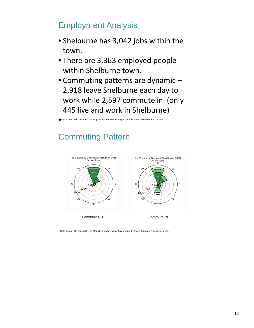# Employment Analysis

- Shelburne has 3,042 jobs within the town.
- There are 3,363 employed people within Shelburne town.
- Commuting patterns are dynamic 2,918 leave Shelburne each day to work while 2,597 commute in (only 445 live and work in Shelburne)

**Data Source: US Census On the Map 2018 update with interpretation by Arnett Muldrow & Associates, Ltd.** 

# Commuting Pattern



Commute OUT **Commute IN** 

Data Source: US Census On the Map 2018 update with interpretation by Arnett Muldrow & Associates, Ltd.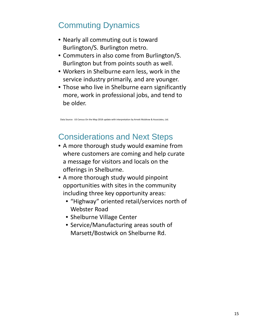# Commuting Dynamics

- Nearly all commuting out is toward Burlington/S. Burlington metro.
- Commuters in also come from Burlington/S. Burlington but from points south as well.
- Workers in Shelburne earn less, work in the service industry primarily, and are younger.
- Those who live in Shelburne earn significantly more, work in professional jobs, and tend to be older.

Data Source: US Census On the Map 2018 update with interpretation by Arnett Muldrow & Associates, Ltd.

# Considerations and Next Steps

- A more thorough study would examine from where customers are coming and help curate a message for visitors and locals on the offerings in Shelburne.
- A more thorough study would pinpoint opportunities with sites in the community including three key opportunity areas:
	- "Highway" oriented retail/services north of Webster Road
	- Shelburne Village Center
	- Service/Manufacturing areas south of Marsett/Bostwick on Shelburne Rd.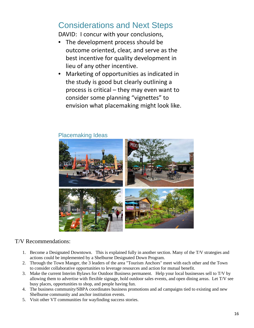# Considerations and Next Steps

DAVID: I concur with your conclusions,

- The development process should be outcome oriented, clear, and serve as the best incentive for quality development in lieu of any other incentive.
- Marketing of opportunities as indicated in the study is good but clearly outlining a process is critical – they may even want to consider some planning "vignettes" to envision what placemaking might look like.

#### Placemaking Ideas



#### T/V Recommendations:

- 1. Become a Designated Downtown. This is explained fully in another section. Many of the T/V strategies and actions could be implemented by a Shelburne Designated Down Program.
- 2. Through the Town Manger, the 3 leaders of the area "Tourism Anchors" meet with each other and the Town to consider collaborative opportunities to leverage resources and action for mutual benefit.
- 3. Make the current Interim Bylaws for Outdoor Business permanent. Help your local businesses sell to T/V by allowing them to advertise with flexible signage, hold outdoor sales events, and open dining areas. Let T/V see busy places, opportunities to shop, and people having fun.
- 4. The business community/SBPA coordinates business promotions and ad campaigns tied to existing and new Shelburne community and anchor institution events.
- 5. Visit other VT communities for wayfinding success stories.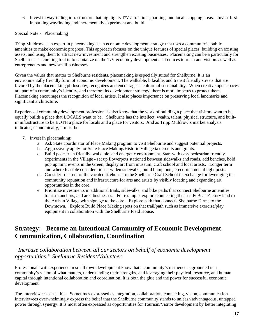6. Invest in wayfinding infrastructure that highlights T/V attractions, parking, and local shopping areas. Invest first in parking wayfinding and incrementally experiment and build.

Special Note - Placemaking

Tripp Muldrow is an expert in placemaking as an economic development strategy that uses a community's public amenities to make economic progress. This approach focuses on the unique features of special places, building on existing assets, and using them to attract new investment and strengthen existing businesses. Placemaking can be a particularly for Shelburne as a curating tool in to capitalize on the T/V economy development as it entices tourism and visitors as well as entrepreneurs and new small businesses.

Given the values that matter to Shelburne residents, placemaking is especially suited for Shelburne. It is an environmentally friendly form of economic development. The walkable, bikeable, and transit friendly streets that are favored by the placemaking philosophy, recognizes and encourages a culture of sustainability. When creative open spaces are part of a community's identity, and therefore its development strategy, there is more impetus to protect them. Placemaking encourages the recognition of local artists. It also places importance on preserving local landmarks and significant architecture.

Experienced community development professionals also know that the work of building a place that visitors want to be equally builds a place that LOCALS want to be. Shelburne has the intellect, wealth, talent, physical structure, and builtin infrastructure to be BOTH a place for locals and a place for visitors. And as Tripp Muldrow's market analysis indicates, economically, it must be.

- 7. Invest in placemaking:
	- a. Ask State coordinator of Place Making program to visit Shelburne and suggest potential projects.
	- b. Aggressively apply for State Place Making/Historic Village tax credits and grants.
	- c. Build pedestrian friendly, walkable, and energetic environment. Start with easy pedestrian friendly experiments in the Village - set up flowerpots stationed between sidewalks and roads, add benches, hold pop up mini events in the Green, display art from museum, craft school and local artists. Longer term and where feasible considerations: widen sidewalks, build bump outs, erect ornamental light posts.
	- d. Consider free rent of the vacated firehouse to the Shelburne Craft School in exchange for leveraging the community reputation and infrastructure for arts and artists by visibly locating and expanding art opportunities in the core.
	- e. Prioritize investments in additional trails, sidewalks, and bike paths that connect Shelburne amenities, tourism anchors, and area businesses. For example, explore connecting the Teddy Bear Factory land to the Artisan Village with signage to the core. Explore path that connects Shelburne Farms to the Downtown. Explore Build Place Making spots on that trail/path such as immersive exercise/play equipment in collaboration with the Shelburne Field House.

### **Strategy: Become an Intentional Community of Economic Development Communication, Collaboration, Coordination**

#### *"Increase collaboration between all our sectors on behalf of economic development opportunities." Shelburne Resident/Volunteer.*

Professionals with experience in small town development know that a community's resilience is grounded in a community's vision of what matters, understanding their strengths, and leveraging their physical, resource, and human capital through intentional collaboration and coordination. It is both the glue and the power for successful economic development.

The Interviewees sense this. Sometimes expressed as integration, collaboration, connecting, vision, communication – interviewees overwhelmingly express the belief that the Shelburne community stands to unleash advantageous, untapped power through synergy. It is most often expressed as opportunities for Tourism/Visitor development by better integrating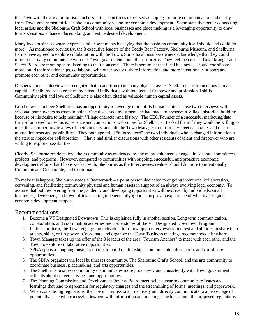the Town with the 3 major tourism anchors. It is sometimes expressed as hoping for more communication and clarity from Town government officials about a community vision for economic development. Some state that better connecting local artists and the Shelburne Craft School with local businesses and place making is a leveraging opportunity to draw tourists/visitors, enhance placemaking, and entice desired development.

Many local business owners express similar sentiments by saying that the business community itself should and could do more. As mentioned previously, the 3 executive leaders of the Teddy Bear Factory, Shelburne Museum, and Shelburne Farms have agreed to explore collaboration with the Town. Some local business owners acknowledge that they could more proactively communicate with the Town government about their concerns. They feel the current Town Manger and Select Board are more open to listening to their concerns. There is sentiment that local businesses should coordinate more, build their relationships, collaborate with other sectors, share information, and more intentionally support and promote each other and community opportunities.

Of special note: Interviewees recognize that in addition to its many physical assets, Shelburne has tremendous human capital. Shelburne has a great many talented individuals with intellectual firepower and professional skills. Community spirit and love of Shelburne is also often cited as valuable human capital assets.

Good news: I believe Shelburne has an opportunity to leverage more of its human capital. I use two interviews with seasonal homeowners as cases in point. One discussed investments he had made to preserve a Village historical building because of his desire to help maintain Village character and history. The CEO/Founder of a successful marketing/data firm volunteered to use his experience and connections to do more for Shelburne. I asked them if they would be willing to meet this summer, invite a few of their contacts, and add the Town Manager to informally meet each other and discuss mutual interests and possibilities. They both agreed. I "e-introduced" the two individuals who exchanged information as the start to hoped-for collaboration. I have had similar discussions with other residents of talent and firepower who are willing to explore possibilities.

Clearly, Shelburne residents love their community as evidenced by the many volunteers engaged in separate committees, projects, and programs. However, compared to communities with ongoing, successful, and proactive economic development efforts that I have worked with, Shelburne, as the Interviewees realize, should do more to intentionally Communicate, Collaborate, and Coordinate.

To make this happen, Shelburne needs a Quarterback – a point person dedicated to ongoing intentional collaboration, convening, and facilitating community physical and human assets in support of an always evolving local economy. To assume that both recovering from the pandemic and developing opportunities will be driven by individuals, small businesses, developers, and town officials acting independently ignores the proven experience of what makes good economic development happen.

#### Recommendations:

- 1. Become a VT Designated Downtown. This is explained fully in another section. Long term communication, collaboration, and coordination activities are cornerstones of the VT Designated Downtown Program.
- 2. In the short term, the Town engages an individual to follow up on interviewees' interest and abilities to share their talents, skills, or firepower. Coordinate and organize the Town/Business meetings recommended elsewhere.
- 3. Town Manager takes up the offer of the 3 leaders of the area "Tourism Anchors" to meet with each other and the Town to explore collaborative opportunities.
- 4. SPBA sponsors ongoing business mixers to build relationships, communicate information, and coordinate opportunities.
- 5. The SBPA organizes the local businesses community, The Shelburne Crafts School, and the arts community to coordinate business, placemaking, and arts opportunities.
- 6. The Shelburne business community communicates more proactively and consistently with Town government officials about concerns, issues, and opportunities.
- 7. The Planning Commission and Development Review Board meet twice a year to communicate issues and learnings that lead to agreement for regulatory changes and the streamlining of forms, meetings, and paperwork.
- 8. When considering regulations, the Town commissions proactively and directly communicate to a percentage of potentially affected business/landowners with information and meeting schedules about the proposed regulations.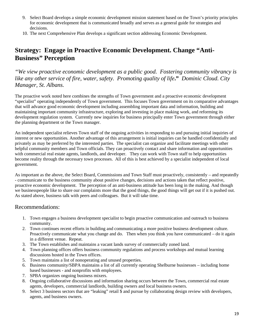- 9. Select Board develops a simple economic development mission statement based on the Town's priority principles for economic development that is communicated broadly and serves as a general guide for strategies and decisions.
- 10. The next Comprehensive Plan develops a significant section addressing Economic Development.

### **Strategy: Engage in Proactive Economic Development. Change "Anti-Business" Perception**

*"We view proactive economic development as a public good. Fostering community vibrancy is like any other service of fire, water, safety. Promoting quality of life***."** *Dominic Cloud. City Manager, St. Albans.*

The proactive work noted here combines the strengths of Town government and a proactive economic development "specialist" operating independently of Town government. This focuses Town government on its comparative advantages that will advance good economic development including assembling important data and information, building and maintaining important community infrastructure, exploring and investing in place making work, and reforming its development regulation system. Currently new inquiries for business principally enter Town government through either the planning department or the Town manager.

An independent specialist relieves Town staff of the ongoing activities in responding to and pursuing initial inquiries of interest or new opportunities. Another advantage of this arrangement is initial inquiries can be handled confidentially and privately as may be preferred by the interested parties. The specialist can organize and facilitate meetings with other helpful community members and Town officials. They can proactively contact and share information and opportunities with commercial real estate agents, landlords, and developer. They can work with Town staff to help opportunities become reality through the necessary town processes. All of this is best achieved by a specialist independent of local government.

As important as the above, the Select Board, Commissions and Town Staff must proactively, consistently – and repeatedly - communicate to the business community about positive changes, decisions and actions taken that reflect positive, proactive economic development. The perception of an anti-business attitude has been long in the making. And though we businesspeople like to share our complaints more that the good things, the good things will get out if it is pushed out. As stated above, business talk with peers and colleagues. But it will take time.

#### Recommendations:

- 1. Town engages a business development specialist to begin proactive communication and outreach to business community.
- 2. Town continues recent efforts in building and communicating a more positive business development culture. Proactively communicate what you change and do. Then when you think you have communicated – do it again in a different venue. Repeat.
- 3. The Town establishes and maintains a vacant lands survey of commercially zoned land.
- 4. Town planning offices offers business community regulations and process workshops and mutual learning discussions hosted in the Town offices.
- 5. Town maintains a list of nonoperating and unused properties.
- 6. Business community/SBPA maintains a list of all currently operating Shelburne businesses including home based businesses - and nonprofits with employees.
- 7. SPBA organizes ongoing business mixers.
- 8. Ongoing collaborative discussions and information sharing occurs between the Town, commercial real estate agents, developers, commercial landlords, building owners and local business owners.
- 9. Select 3 business sectors that are "leaking" retail \$ and pursue by collaborating design review with developers, agents, and business owners.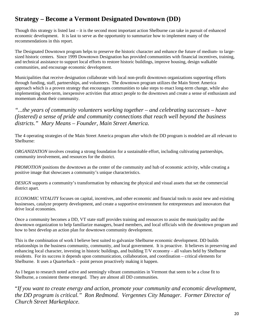## **Strategy – Become a Vermont Designated Downtown (DD)**

Though this strategy is listed last – it is the second most important action Shelburne can take in pursuit of enhanced economic development. It is last to serve as the opportunity to summarize how to implement many of the recommendations in this report.

The Designated Downtown program helps to preserve the historic character and enhance the future of medium- to largesized historic centers. Since 1999 Downtown Designation has provided communities with financial incentives, training, and technical assistance to support local efforts to restore historic buildings, improve housing, design walkable communities, and encourage economic development.

Municipalities that receive designation collaborate with local non-profit downtown organizations supporting efforts through funding, staff, partnerships, and volunteers. The downtown program utilizes the Main Street America approach which is a proven strategy that encourages communities to take steps to enact long-term change, while also implementing short-term, inexpensive activities that attract people to the downtown and create a sense of enthusiasm and momentum about their community.

*"...the years of community volunteers working together – and celebrating successes – have (fostered) a sense of pride and community connections that reach well beyond the business districts." Mary Means – Founder, Main Street America.*

The 4 operating strategies of the Main Street America program after which the DD program is modeled are all relevant to Shelburne:

*ORGANIZATION* involves creating a strong foundation for a sustainable effort, including cultivating partnerships, community involvement, and resources for the district.

*PROMOTION* positions the downtown as the center of the community and hub of economic activity, while creating a positive image that showcases a community's unique characteristics.

*DESIGN* supports a community's transformation by enhancing the physical and visual assets that set the commercial district apart.

*ECONOMIC VITALITY* focuses on capital, incentives, and other economic and financial tools to assist new and existing businesses, catalyze property development, and create a supportive environment for entrepreneurs and innovators that drive local economies.

Once a community becomes a DD, VT state staff provides training and resources to assist the municipality and the downtown organization to help familiarize managers, board members, and local officials with the downtown program and how to best develop an action plan for downtown community development.

This is the combination of work I believe best suited to galvanize Shelburne economic development. DD builds relationships in the business community, community, and local government. It is proactive. It believes in preserving and enhancing local character, investing in historic buildings, and building T/V economy – all values held by Shelburne residents. For its success it depends upon communication, collaboration, and coordination – critical elements for Shelburne. It uses a Quarterback – point person proactively making it happen.

As I began to research noted active and seemingly vibrant communities in Vermont that seem to be a close fit to Shelburne, a consistent theme emerged. They are almost all DD communities.

"*If you want to create energy and action, promote your community and economic development, the DD program is critical." Ron Redmond. Vergennes City Manager. Former Director of Church Street Marketplace.*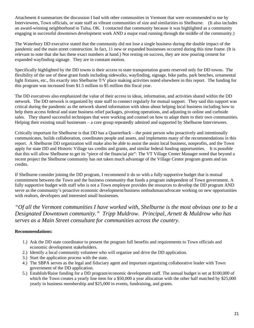Attachment 4 summarizes the discussion I had with other communities in Vermont that were recommended to me by Interviewees, Town officials, or state staff as vibrant communities of size and similarities to Shelburne. (It also includes an award-winning neighborhood in Tulsa, OK. I contacted that community because it was highlighted as a community engaging in successful downtown development work AND a major road running through the middle of the community.)

The Waterbury DD executive stated that the community did not lose a single business during the double impact of the pandemic and the main street construction. In fact, 11 new or expanded businesses occurred during this time frame. (It is relevant to note that she has these exact numbers at hand.) Not resting on success, they are now pouring cement for expanded wayfinding signage. They are in constant motion.

Specifically highlighted by the DD towns is their access to state transportation grants reserved only for DD towns. The flexibility of the use of these grant funds including sidewalks, wayfinding, signage, bike paths, park benches, ornamental light fixtures, etc., fits exactly into Shelburne T/V place making activities noted elsewhere in this report. The funding for this program was increased from \$1.5 million to \$5 million this fiscal year.

The DD executives also emphasized the value of their access to ideas, information, and activities shared within the DD network. The DD network is organized by state staff to connect regularly for mutual support. They said this support was critical during the pandemic as the network shared information with ideas about helping local business including how to help them access federal and state business relief packages, pivoting operations, and adjusting to online and curbside sales. They shared successful techniques that were working and counsel on how to adapt them to their own communities. Helping their existing small businesses – a core group repeatedly admired and supported by Shelburne Interviewees.

Critically important for Shelburne is that DD has a Quarterback – the point person who proactively and intentionally communicates, builds collaboration, coordinates people and assets, and implements many of the recommendations in this report. A Shelburne DD organization will make also be able to assist the assist local business, nonprofits, and the Town apply for state DD and Historic Village tax credits and grants, and similar federal funding opportunities. It is possible that this will allow Shelburne to get its "piece of the financial pie": The VT Village Center Manager noted that beyond a recent project the Shelburne community has not taken much advantage of the Village Center program grants and tax credits.

If Shelburne consider joining the DD program, I recommend it do so with a fully supportive budget that is mutual commitment between the Town and the business community that funds a program independent of Town government. A fully supportive budget with staff who is not a Town employee provides the resources to develop the DD program AND serve as the community's proactive economic development/business ombudsman/advocate working on new opportunities with realtors, developers and interested small businesses.

*"Of all the Vermont communities I have worked with, Shelburne is the most obvious one to be a Designated Downtown community." Tripp Muldrow. Principal, Arnett & Muldrow who has serves as a Main Street consultant for communities across the country.*

#### **Recommendations:**

- 1.) Ask the DD state coordinator to present the program full benefits and requirements to Town officials and economic development stakeholders.
- 2.) Identify a local community volunteer who will organize and drive the DD application.
- 3.) Start the application process with the state.
- 4.) The SBPA serves as the legal and fiduciary agent and important organizing collaborative leader with Town government of the DD application.
- 5.) Establish/Raise funding for a DD program/economic development staff. The annual budget is set at \$100,000 of which the Town creates a yearly line item for a \$50,000 a year allocation with the other half matched by \$25,000 yearly in business membership and \$25,000 in events, fundraising, and grants.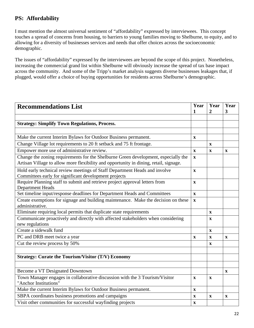### **PS: Affordability**

I must mention the almost universal sentiment of "affordability" expressed by interviewees. This concept touches a spread of concerns from housing, to barriers to young families moving to Shelburne, to equity, and to allowing for a diversity of businesses services and needs that offer choices across the socioeconomic demographic.

The issues of "affordability" expressed by the interviewees are beyond the scope of this project. Nonetheless, increasing the commercial grand list within Shelburne will obviously increase the spread of tax base impact across the community. And some of the Tripp's market analysis suggests diverse businesses leakages that, if plugged, would offer a choice of buying opportunities for residents across Shelburne's demographic.

| <b>Recommendations List</b>                                                                                                                                                 | Year         | Year<br>2    | Year<br>3   |
|-----------------------------------------------------------------------------------------------------------------------------------------------------------------------------|--------------|--------------|-------------|
| <b>Strategy: Simplify Town Regulations, Process.</b>                                                                                                                        |              |              |             |
|                                                                                                                                                                             |              |              |             |
| Make the current Interim Bylaws for Outdoor Business permanent.                                                                                                             | $\mathbf X$  |              |             |
| Change Village lot requirements to 20 ft setback and 75 ft frontage.                                                                                                        |              | X            |             |
| Empower more use of administrative review.                                                                                                                                  | $\mathbf{X}$ | $\mathbf x$  | $\mathbf x$ |
| Change the zoning requirements for the Shelburne Green development, especially the<br>Artisan Village to allow more flexibility and opportunity in dining, retail, signage. | $\mathbf x$  |              |             |
| Hold early technical review meetings of Staff Department Heads and involve<br>Committees early for significant development projects                                         | $\mathbf x$  |              |             |
| Require Planning staff to submit and retrieve project approval letters from<br><b>Department Heads</b>                                                                      | $\mathbf x$  |              |             |
| Set timeline input/response deadlines for Department Heads and Committees                                                                                                   | $\mathbf{X}$ |              |             |
| Create exemptions for signage and building maintenance. Make the decision on these<br>administrative.                                                                       | $\mathbf x$  |              |             |
| Eliminate requiring local permits that duplicate state requirements                                                                                                         |              | $\mathbf X$  |             |
| Communicate proactively and directly with affected stakeholders when considering<br>new regulations                                                                         |              | $\mathbf{x}$ |             |
| Create a sidewalk fund                                                                                                                                                      |              | $\mathbf X$  |             |
| PC and DRB meet twice a year                                                                                                                                                | $\mathbf x$  | $\mathbf X$  | $\mathbf x$ |
| Cut the review process by 50%                                                                                                                                               |              | $\mathbf x$  |             |
| <b>Strategy: Curate the Tourism/Visitor (T/V) Economy</b>                                                                                                                   |              |              |             |
| Become a VT Designated Downtown                                                                                                                                             |              |              | $\mathbf X$ |
| Town Manager engages in collaborative discussion with the 3 Tourism/Visitor<br>"Anchor Institutions"                                                                        | $\mathbf{x}$ | $\mathbf x$  |             |
| Make the current Interim Bylaws for Outdoor Business permanent.                                                                                                             | $\mathbf X$  |              |             |
| SBPA coordinates business promotions and campaigns                                                                                                                          | $\mathbf{x}$ | $\mathbf x$  | $\mathbf x$ |
| Visit other communities for successful wayfinding projects                                                                                                                  | $\mathbf x$  |              |             |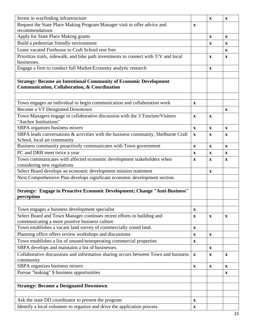| Invest in wayfinding infrastructure                                                                                      |              | $\mathbf{X}$ | $\mathbf x$ |
|--------------------------------------------------------------------------------------------------------------------------|--------------|--------------|-------------|
| Request the State Place Making Program Manager visit to offer advice and                                                 | $\mathbf X$  |              |             |
| recommendations                                                                                                          |              |              |             |
| Apply for State Place Making grants                                                                                      |              | $\mathbf{X}$ | $\mathbf X$ |
| Build a pedestrian friendly environment                                                                                  |              | $\mathbf x$  | $\mathbf x$ |
| Lease vacated Firehouse to Craft School rent free                                                                        |              |              | X           |
| Prioritize trails, sidewalk, and bike path investments to connect with T/V and local                                     |              | $\mathbf{X}$ | $\mathbf X$ |
| businesses.                                                                                                              |              |              |             |
| Engage a firm to conduct full Market/Economy analytic research                                                           |              | $\mathbf x$  |             |
|                                                                                                                          |              |              |             |
| <b>Strategy: Become an Intentional Community of Economic Development</b><br>Communication, Collaboration, & Coordination |              |              |             |
|                                                                                                                          |              |              |             |
| Town engages an individual to begin communication and collaboration work                                                 | $\mathbf X$  |              |             |
| Become a VT Designated Downtown                                                                                          |              |              | $\mathbf x$ |
| Town Managers engage in collaborative discussion with the 3 Tourism/Visitors                                             | $\mathbf X$  | $\mathbf x$  |             |
| "Anchor Institutions"                                                                                                    |              |              |             |
| SBPA organizes business mixers                                                                                           | $\mathbf{X}$ | $\mathbf{X}$ | $\mathbf x$ |
| SBPA leads conversations & activities with the business community, Shelburne Craft                                       | $\mathbf X$  | $\mathbf x$  | $\mathbf x$ |
| School, local art community                                                                                              |              |              |             |
| Business community proactively communicates with Town government                                                         | $\mathbf{x}$ | $\mathbf{X}$ | $\mathbf x$ |
| PC and DRB meet twice a year                                                                                             | $\mathbf{x}$ | $\mathbf{X}$ | $\mathbf x$ |
| Town communicates with affected economic development stakeholders when                                                   |              |              |             |
| considering new regulations                                                                                              | X            | $\mathbf x$  | X           |
| Select Board develops an economic development mission statement                                                          |              | $\mathbf{X}$ |             |
| Next Comprehensive Plan develops significant economic development section.                                               |              |              |             |
|                                                                                                                          |              |              |             |
| Strategy: Engage in Proactive Economic Development; Change "Anti-Business"                                               |              |              |             |
| perception                                                                                                               |              |              |             |
|                                                                                                                          |              |              |             |
| Town engages a business development specialist                                                                           | $\mathbf X$  |              |             |
|                                                                                                                          |              |              |             |
| Select Board and Town Manager continues recent efforts in building and<br>communicating a more positive business culture | X            | $\mathbf{X}$ | X           |
| Town establishes a vacant land survey of commercially zoned land.                                                        | $\mathbf X$  |              |             |
| Planning office offers review workshops and discussions                                                                  | $\mathbf{X}$ |              |             |
|                                                                                                                          |              | $\mathbf{X}$ |             |
| Town establishes a list of unused/nonoperating commercial properties                                                     | $\mathbf X$  |              |             |
| SBPA develops and maintains a list of businesses.                                                                        |              | $\mathbf{x}$ |             |
| Collaborative discussions and information sharing occurs between Town and business<br>community                          | $\mathbf X$  | $\mathbf{x}$ | $\mathbf X$ |
| SBPA organizes business mixers                                                                                           | $\mathbf X$  | $\mathbf{X}$ | $\mathbf x$ |
| Pursue "leaking" \$ business opportunities                                                                               |              |              |             |
|                                                                                                                          |              |              | $\mathbf X$ |
|                                                                                                                          |              |              |             |
| <b>Strategy: Become a Designated Downtown</b>                                                                            |              |              |             |
|                                                                                                                          |              |              |             |
| Ask the state DD coordinator to present the program                                                                      | X            |              |             |
| Identify a local volunteer to organize and drive the application process                                                 | X            |              |             |
|                                                                                                                          |              |              |             |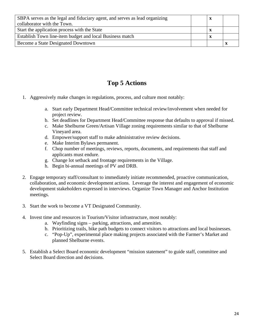| SBPA serves as the legal and fiduciary agent, and serves as lead organizing |  |  |
|-----------------------------------------------------------------------------|--|--|
| collaborator with the Town.                                                 |  |  |
| Start the application process with the State                                |  |  |
| Establish Town line-item budget and local Business match                    |  |  |
| Become a State Designated Downtown                                          |  |  |

# **Top 5 Actions**

- 1. Aggressively make changes in regulations, process, and culture most notably:
	- a. Start early Department Head/Committee technical review/involvement when needed for project review.
	- b. Set deadlines for Department Head/Committee response that defaults to approval if missed.
	- c. Make Shelburne Green/Artisan Village zoning requirements similar to that of Shelburne Vineyard area.
	- d. Empower/support staff to make administrative review decisions.
	- e. Make Interim Bylaws permanent.
	- f. Chop number of meetings, reviews, reports, documents, and requirements that staff and applicants must endure.
	- g. Change lot setback and frontage requirements in the Village.
	- h. Begin bi-annual meetings of PV and DRB.
- 2. Engage temporary staff/consultant to immediately initiate recommended, proactive communication, collaboration, and economic development actions. Leverage the interest and engagement of economic development stakeholders expressed in interviews. Organize Town Manager and Anchor Institution meetings.
- 3. Start the work to become a VT Designated Community.
- 4. Invest time and resources in Tourism/Visitor infrastructure, most notably:
	- a. Wayfinding signs parking, attractions, and amenities.
	- b. Prioritizing trails, bike path budgets to connect visitors to attractions and local businesses.
	- c. "Pop-Up", experimental place making projects associated with the Farmer's Market and planned Shelburne events.
- 5. Establish a Select Board economic development "mission statement" to guide staff, committee and Select Board direction and decisions.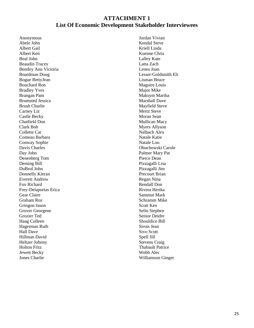#### **ATTACHMENT 1 List Of Economic Development Stakeholder Interviewees**

Anonymous Abele John Albert Gail Albert Ken Beal John Beaudin Tracey Bentley Ann Victoria Boardman Doug Bogue BettyJean Bouchard Ron Bradley Yves Brangan Pam Brumsted Jessica Brush Charlie Carney Liz Castle Becky Chatfield Don Clark Bob Collette Cat Comeau Barbara Conway Sophie Davis Charles Day John Denenberg Tom Deming Bill DuBrul John Donnelly Kieran Everett Andrew Fox Richard Frey-Delaportas Erica Gear Claire Graham Roz Gringon Jason Grover Georgene Grozier Ted Haag Colleen Hagerman Ruth Hall Dave Hillman David Heltzer Johnny Holton Fritz Jewett Becky Jones Charlie

Jordan Vivian Kendal Steve Kriell Linda Kuenne Chris Lalley Kate Latta Zach Lenes Joan Lesser-Goldsmith Eli Lisman Bruce Maguire Louis Major Mike Maksym Martha Marshall Dave Mayfield Steve Mertz Steve Moran Sean Mullican Macy Myers Allyson Nalbach Alex Natale Katie Natale Lou Obuchowski Carole Palmer Mary Pat Pierce Dean Pizzagalli Lisa Pizzagalli Jim Precourt Brian Regan Nina Rendall Don Rivera Herika Sammut Mark Schramm Mike Scott Ken Selin Stephen Senior Deidre Shouldice Bill Sirois Jean Sivo Scott Spell Jill Stevens Craig Thabault Patrice Webb Alec Williamson Ginger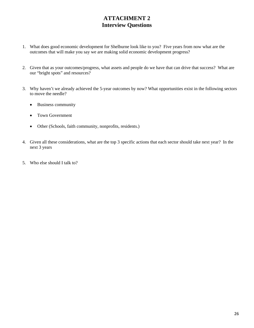### **ATTACHMENT 2 Interview Questions**

- 1. What does good economic development for Shelburne look like to you? Five years from now what are the outcomes that will make you say we are making solid economic development progress?
- 2. Given that as your outcomes/progress, what assets and people do we have that can drive that success? What are our "bright spots" and resources?
- 3. Why haven't we already achieved the 5-year outcomes by now? What opportunities exist in the following sectors to move the needle?
	- Business community
	- Town Government
	- Other (Schools, faith community, nonprofits, residents.)
- 4. Given all these considerations, what are the top 3 specific actions that each sector should take next year? In the next 3 years
- 5. Who else should I talk to?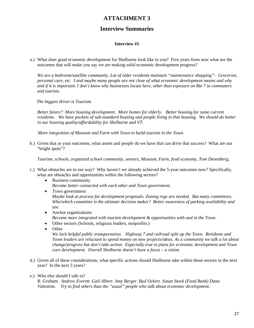#### **ATTACHMENT 3**

#### **Interview Summaries**

#### **Interview #1**

a.) What does good economic development for Shelburne look like to you? Five years from now what are the outcomes that will make you say we are making solid economic development progress?

*We are a bedroom/satellite community. Lot of older residents maintain "maintenance shopping": Groceries, personal care, etc. I and maybe many people are not clear of what economic development means and why and if it is important. I don't know why businesses locate here, other than exposure on Rte 7 to commuters and tourists.*

 *The biggest driver is Tourism.*

*Better future? More housing development. More homes for elderly. Better housing for some current residents. We have pockets of sub-standard housing and people living in that housing. We should do better in our housing quality/affordability for Shelburne and VT.* 

 *More integration of Museum and Farm with Town to build tourism in the Town.*

b.) Given that as your outcomes, what assets and people do we have that can drive that success? What are our "bright spots"?

*Tourism, schools, organized school community, seniors, Museum, Farm, food economy, Tom Denenberg,* 

- c.) What obstacles are in our way? Why haven't we already achieved the 5-year outcomes now? Specifically, what are obstacles and opportunities within the following sectors?
	- Business community *Become better connected with each other and Town government.*
	- Town government *Maybe look at process for development proposals. Zoning regs are needed. But many committees. Who/which committee is the ultimate decision maker? Better awareness of parking availability and use.*
	- Anchor organizations *Become more integrated with tourism development & opportunities with and in the Town*.
	- Other sectors (Schools, religious leaders, nonprofits.)
	- Other

*We lack helpful public transportation. Highway 7 and railroad split up the Town. Residents and Town leaders are reluctant to spend money on new projects/ideas. As a community we talk a lot about change/progress but don't take action. Especially true in plans for economic development and Town core development. Overall Shelburne doesn't have a focus – a vision.*

- d.) Given all of these considerations, what specific actions should Shelburne take within those sectors in the next year? In the next 3 years?
- e.) Who else should I talk to?

*R. Graham. Andrew Everett. Gail Albert. Amy Berger. Bud Ockert. Susan Stock (Food Bank) Dana Valentine. Try to find others than the "usual" people who talk about economic development*.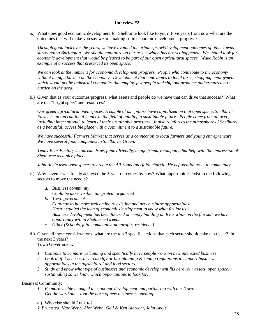a.) What does good economic development for Shelburne look like to you? Five years from now what are the outcomes that will make you say we are making solid economic development progress?

*Through good luck over the years, we have avoided the urban sprawl/development outcomes of other towns surrounding Burlington. We should capitalize on our assets which has not yet happened. We should look for economic development that would be pleased to be part of our open agricultural spaces. Wake Robin is an example of a success that preserved its open space.*

*We can look at the numbers for economic development progress. People who contribute to the economy without being a burden on the economy. Development that contributes to local taxes, shopping employment which would not be industrial companies that employ few people and ship out products and creates a cost burden on the area.*

b.) Given that as your outcomes/progress, what assets and people do we have that can drive that success? What are our "bright spots" and resources?

*Our green agricultural open spaces. A couple of our pillars have capitalized on that open space, Shelburne Farms is an international leader in the field of building a sustainable future. People come from all over, including international, to learn of their sustainable practices. It also reinforces the atmosphere of Shelburne as a beautiful, accessible place with a commitment to a sustainable future.*

*We have successful Farmers Market that serves as a connection to local farmers and young entrepreneurs. We have several food companies in Shelburne Green.*

*Teddy Bear Factory is tourism draw, family friendly, image friendly company that help with the impression of Shelburne as a nice place.*

*John Abele used open spaces to create the All Souls Interfaith church. He is potential asset to community*

- c.) Why haven't we already achieved the 5-year outcomes by now? What opportunities exist in the following sectors to move the needle?
	- *a. Business community Could be more visible, integrated, organized*
	- *b. Town government Continue to be more welcoming to existing and new business opportunities; Hasn't studied the idea of economic development to know what fits for us; Business development has been focused on empty building on RT 7 while on the flip side we have opportunity within Shelburne Green.*
	- *c. Other (Schools, faith community, nonprofits, residents.)*
- d.) Given all these considerations, what are the top 3 specific actions that each sector should take next year? In the next 3 years? Town Government:
	- *1. Continue to be more welcoming and specifically have people work on new interested business*
	- *2. Look at if it is necessary to modify or flex planning & zoning regulations to support business opportunities in the agricultural and food sectors.*
	- *3. Study and know what type of businesses and economic development fits here (our assets, open space, sustainable) so we know which opportunities to look for.*

Business Community:

- *1. Be more visible engaged in economic development and partnering with the Town.*
- *2. Get the word out – toot the horn of new businesses opening.*
- e.) Who else should I talk to?
- *J. Brumsted, Kate Webb, Alec Webb, Gail & Ken Albrecht, John Abele*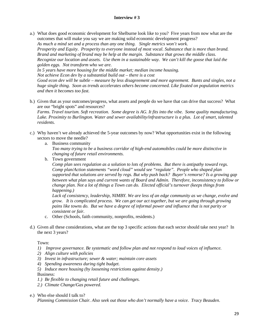a.) What does good economic development for Shelburne look like to you? Five years from now what are the outcomes that will make you say we are making solid economic development progress? *As much a mind set and a process than any one thing. Single metrics won't work. Prosperity and Equity. Prosperity to everyone instead of most vocal. Substance that is more than brand. Brand and marketing of brand may be help at the margin. Substance that grows the middle class.*

*Recognize our location and assets. Use them in a sustainable way. We can't kill the goose that laid the golden eggs. Not transform who we are.*

*In 5 years have more housing for the middle market; median income housing.*

*Not achieve Econ dev by a substantial build out – there is a cost*

*Good econ dev will be subtle – measure by less disagreement and more agreement. Bunts and singles, not a huge single thing. Soon as trends accelerates others become concerned. Like fixated on population metrics and then it becomes too fast.*

b.) Given that as your outcomes/progress, what assets and people do we have that can drive that success? What are our "bright spots" and resources?

*Farms. Travel tourism. Soft recreation. Some degree is AG. It fits into the vibe. Some quality manufacturing. Lake. Proximity to Burlington. Water and sewer availability/infrastructure is a plus. Lot of smart, talented residents.*

- c.) Why haven't we already achieved the 5-year outcomes by now? What opportunities exist in the following sectors to move the needle?
	- a. Business community

*Too many trying to be a business corridor of high-end automobiles could be more distinctive in changing of future retail environments.* 

b. Town government

*Comp plan sees regulation as a solution to lots of problems. But there is antipathy toward regs. Comp plan/Action statements "word cloud" would see "regulate". People who shaped plan supported that solutions are served by regs. But why push back? Buyer's remorse? Is a growing gap between what plan says and current wants of Board and Admin. Therefore, inconsistency to follow or change plan. Not a lot of things a Town can do. Elected official's turnover (keeps things from happening.)* 

*Lack of consistency, leadership, NIMBY. We are less of an edge community as we change, evolve and grow. It is complicated process. We can get our act together, but we are going through growing pains like towns do. But we have a degree of informal power and influence that is not parity or consistent or fair.*

- c. Other (Schools, faith community, nonprofits, residents.)
- d.) Given all these considerations, what are the top 3 specific actions that each sector should take next year? In the next 3 years?

#### Town:

- *1) Improve governance. Be systematic and follow plan and not respond to loud voices of influence.*
- *2) Align culture with policies*
- *3) Invest in infrastructure; sewer & water; maintain core assets*
- *4) Spending awareness during tight budget.*
- *5) Induce more housing (by loosening restrictions against density.)*

Business:

- *1.) Be flexible to changing retail future and challenges.*
- *2.) Climate Change/Gas powered.*
- e.) Who else should I talk to?

*Planning Commission Chair. Also seek out those who don't normally have a voice. Tracy Beauden*.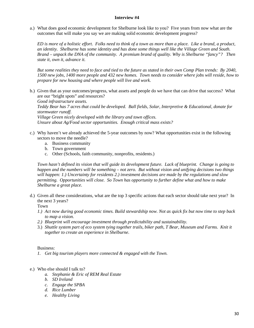a.) What does good economic development for Shelburne look like to you? Five years from now what are the outcomes that will make you say we are making solid economic development progress?

*ED is more of a holistic effort. Folks need to think of a town as more than a place. Like a brand, a product, an identity. Shelburne has some identity and has done some things well like the Village Green and South. Brand – unpack the DNA of the community. A premium brand of quality. Why is Shelburne "fancy"? Then state it, own it, advance it.*

*But some realities they need to face and tied to the future as stated in their own Comp Plan trends: By 2040, 1500 new jobs, 1400 more people and 432 new homes. Town needs to consider where jobs will reside, how to prepare for new housing and where people will live and work.*

b.) Given that as your outcomes/progress, what assets and people do we have that can drive that success? What are our "bright spots" and resources?

*Good infrastructure assets. Teddy Bear has 7 acres that could be developed. Ball fields, Solar, Interpretive & Educational, donate for stormwater runoff. Village Green nicely developed with the library and town offices.*

*Unsure about Ag/Food sector opportunities. Enough critical mass exists?*

- c.) Why haven't we already achieved the 5-year outcomes by now? What opportunities exist in the following sectors to move the needle?
	- a. Business community
	- b. Town government
	- c. Other (Schools, faith community, nonprofits, residents.)

*Town hasn't defined its vision that will guide its development future. Lack of blueprint. Change is going to happen and the numbers will be something – not zero. But without vision and unifying decisions two things will happen: 1.) Uncertainty for residents 2.) investment decisions are made by the regulations and slow permitting. Opportunities will close. So Town has opportunity to further define what and how to make Shelburne a great place.*

d.) Given all these considerations, what are the top 3 specific actions that each sector should take next year? In the next 3 years?

Town

- *1.) Act now during good economic times. Build stewardship now. Not as quick fix but now time to step back to map a vision.*
- *2.) Blueprint will encourage investment through predictability and sustainability.*
- 3.) *Shuttle system part of eco system tying together trails, biker path, T Bear, Museum and Farms. Knit it together to create an experience in Shelburne*.

Business:

- *1. Get big tourism players more connected & engaged with the Town.*
- e.) Who else should I talk to?
	- *a. Stephanie & Eric of REM Real Estate*
	- *b. SD Ireland*
	- *c. Engage the SPBA*
	- *d. Rice Lumber*
	- *e. Healthy Living*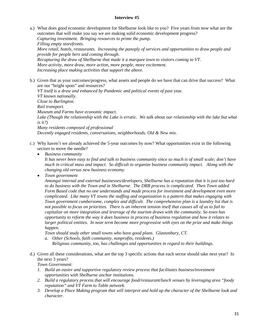a.) What does good economic development for Shelburne look like to you? Five years from now what are the outcomes that will make you say we are making solid economic development progress? *Capturing investment. Bringing resources to prime the pump. Filling empty storefronts. More retail, hotels, restaurants. Increasing the panoply of services and opportunities to draw people and provide for people here and coming through. Recapturing the draw of Shelburne that made it a marquee town to visitors coming to VT. More activity, more draw, more action, more people, more excitement.*

*Increasing place making activities that support the above.*

b.) Given that as your outcomes/progress, what assets and people do we have that can drive that success? What are our "bright spots" and resources?

*VT itself is a draw and enhanced by Pandemic and political events of past* year. *VT known nationally. Close to Burlington. Rail transport. Museum and Farms have economic impact.*  Lake (Though the relationship with the Lake is erratic. We talk about our relationship with the lake but what *is it?) Many residents composed of professional Decently engaged residents, conversations, neighborhoods. Old & New mix.*

- c.) Why haven't we already achieved the 5-year outcomes by now? What opportunities exist in the following sectors to move the needle?
	- *Business community*

*It has never been easy to find and talk to business community since so much is of small scale; don't have much in critical mass and impact. So difficult to organize business community impact. Along with the changing old versus new business economy.* 

• *Town government*

*Amongst internal and external businesses/developers, Shelburne has a reputation that it is just too hard to do business with the Town and in Shelburne. The DRB process is complicated. Then Town added Form Based code that no one understands and made process for investment and development even more complicated. Like many VT towns the staffing and organization is a pattern that makes engaging with Town government cumbersome, complex and difficult. The comprehensive plan is a laundry list that is not possible to focus on priorities. There is an inherent tension itself that causes all of us to fail to capitalize on more integration and leverage of the tourism draws with the community. So town has opportunity to reform the way it does business in process of business regulation and how it relates to larger political entities. In near term become more progressive with eyes on the prize and make things happen.* 

*Town should study other small towns who have good plans. Glastonbury, CT.*

- *a. Other (Schools, faith community, nonprofits, residents.) Religious community, too, has challenges and opportunities in regard to their buildings.*
- d.) Given all these considerations, what are the top 3 specific actions that each sector should take next year? In the next 3 years?

*Town Government:*

- *1. Build an easier and supportive regulatory review process that facilitates business/investment opportunities with Shelburne anchor institutions.*
- *2. Build a regulatory process that will encourage food/restaurant/lunch venues by leveraging area "foody reputation" and VT Farm to Table network.*
- *3. Develop a Place Making program that will interpret and hold up the character of the Shelburne look and character.*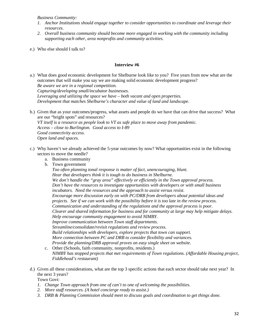*Business Community:*

- *1. Anchor Institutions should engage together to consider opportunities to coordinate and leverage their resources.*
- *2. Overall business community should become more engaged in working with the community including supporting each other, area nonprofits and community activities.*
- e.) Who else should I talk to?

#### **Interview #6**

- a.) What does good economic development for Shelburne look like to you? Five years from now what are the outcomes that will make you say we are making solid economic development progress? *Be aware we are in a regional competition. Capturing/developing small/incubator businesses. Leveraging and utilizing the space we have – both vacant and open properties. Development that matches Shelburne's character and value of land and landscape.*
- b.) Given that as your outcomes/progress, what assets and people do we have that can drive that success? What are our "bright spots" and resources? *VT itself is a resource as people look to VT as safe place to move away from pandemic. Access – close to Burlington. Good access to I-89 Good connectivity access. Open land and spaces.*
- c.) Why haven't we already achieved the 5-year outcomes by now? What opportunities exist in the following sectors to move the needle?
	- a. Business community
	- b. Town government

*Too often planning tonal response is matter of fact, unencouraging, blunt. Hear that developers think it is tough to do business in Shelburne. We don't handle the "gray area" effectively or efficiently in the Town approval process. Don't have the resources to investigate opportunities with developers or with small business incubators. Need the resources and the approach to assist versus resist. Encourage more discussion early on with PC/DRB from developers about potential ideas and projects. See if we can work with the possibility before it is too late in the review process. Communication and understanding of the regulations and the approval process is poor. Clearer and shared information for business and for community at large may help mitigate delays. Help encourage community engagement to avoid NIMBY. Improve communication between Town staff departments. Streamline/consolidate/revisit regulations and review process. Build relationships with developers, explore projects that town can support. More connection between PC and DRB to consider flexibility and variances. Provide the planning/DRB approval proves on easy single sheet on website.* 

- c. Other (Schools, faith community, nonprofits, residents.) *NIMBY has stopped projects that met requirements of Town regulations. (Affordable Housing project, Fiddlehead's restaurant)*
- d.) Given all these considerations, what are the top 3 specific actions that each sector should take next year? In the next 3 years?

Town Govt:

- *1. Change Town approach from one of can't to one of welcoming the possibilities.*
- *2. More staff resources. (A hotel concierge ready to assist.)*
- *3. DRB & Planning Commission should meet to discuss goals and coordination to get things done.*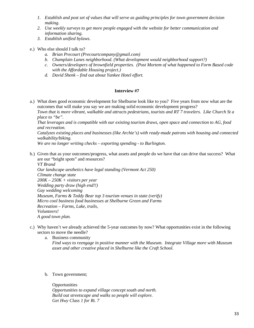- *1. Establish and post set of values that will serve as guiding principles for town government decision making.*
- *2. Use weekly surveys to get more people engaged with the website for better communication and information sharing.*
- *3. Establish unified bylaws.*
- e.) Who else should I talk to?
	- *a. Brian Precourt (Precourtcompany@gmail.com)*
	- *b. Champlain Lanes neighborhood. (What development would neighborhood support?)*
	- *c. Owners/developers of brownfield properties. (Post Mortem of what happened to Form Based code with the Affordable Housing project.)*
	- *d. David Shenk – find out about Yankee Hotel effort.*

a.) What does good economic development for Shelburne look like to you? Five years from now what are the outcomes that will make you say we are making solid economic development progress?

*Town that is more vibrant, walkable and attracts pedestrians, tourists and RT 7 travelers. Like Church St a place to "be".* 

*That leverages and is compatible with our existing tourism draws, open space and connection to AG, food and recreation.*

*Catalyzes existing places and businesses (like Archie's) with ready-made patrons with housing and connected walkability/biking.* 

*We are no longer writing checks – exporting spending - to Burlington.*

b.) Given that as your outcomes/progress, what assets and people do we have that can drive that success? What are our "bright spots" and resources?

*VT Brand Our landscape aesthetics have legal standing (Vermont Act 250) Climate change state 200K – 250K + visitors per year Wedding party draw (high end!!) Gay wedding welcoming Museum, Farms & Teddy Bear top 3 tourism venues in state (verify) Micro cool business food businesses at Shelburne Green and Farms Recreation – Farms, Lake, trails, Volunteers! A good town plan.*

- c.) Why haven't we already achieved the 5-year outcomes by now? What opportunities exist in the following sectors to move the needle?
	- a. Business community *Find ways to reengage in positive manner with the Museum. Integrate Village more with Museum asset and other creative placed in Shelburne like the Craft School.*
	- b. Town government;

**Opportunities** *Opportunities to expand village concept south and north. Build out streetscape and walks so people will explore. Get Hwy Class 1 for Rt. 7*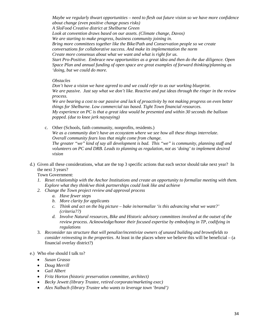*Maybe we regularly thwart opportunities – need to flesh out future vision so we have more confidence about change (even positive change poses risks) A SloFood Creative district at Shelburne Green Look at convention draws based on our assets. (Climate change, Davos) We are starting to make progress, business community joining in. Bring more committees together like the Bike/Path and Conservation people so we create conversations for collaborative success. And make its implementation the norm Create more consensus about what we want and what is right for us. Start Pro-Positive. Embrace new opportunities as a great idea and then do the due diligence. Open Space Plan and annual funding of open space are great examples of forward thinking/planning as 'doing, but we could do more.*

#### *Obstacles*

*Don't have a vision we have agreed to and we could refer to as our working blueprint. We are passive. Just say what we don't like. Reactive and put ideas through the ringer in the review process.* 

*We are bearing a cost to our passive and lack of proactivity by not making progress on even better things for Shelburne. Low commercial tax based. Tight Town financial resources. My experience on PC is that a great idea would be presented and within 30 seconds the balloon popped. (due to knee jerk naysaying)*

c. Other (Schools, faith community, nonprofits, residents.) *We as a community don't have an ecosystem where we see how all these things interrelate*. *Overall community fears loss that might come from change. The greater "we" kind of say all development is bad. This "we" is community, planning staff and volunteers on PC and DRB. Leads to planning as regulation, not as 'doing' to implement desired* 

*vision*

d.) Given all these considerations, what are the top 3 specific actions that each sector should take next year? In the next 3 years?

Town Government:

- *1. Reset relationship with the Anchor Institutions and create an opportunity to formalize meeting with them. Explore what they think/we think partnerships could look like and achieve*
- *2. Change the Town project review and approval process*
	- *a. Have fewer steps*
	- *b. More clarity for applicants*
	- *c. Think and act on the big picture – bake in/normalize 'is this advancing what we want?' (criteria??)*
	- *d. Involve Natural resources, Bike and Historic advisory committees involved at the outset of the review process. Acknowledge/honor their focused expertise by embodying in TP, codifying in regulations*
- 3. *Reconsider tax structure that will penalize/incentivize owners of unused building and brownfields to consider reinvesting in the properties*. At least in the places where we believe this will be beneficial – (a financial overlay district?)

#### e.) Who else should I talk to?

- *Susan Grasso*
- *Doug Merrill*
- *Gail Albert*
- *Fritz Horton (historic preservation committee, architect)*
- *Becky Jewett (library Trustee, retired corporate/marketing exec)*
- *Alex Nalbach (library Trustee who wants to leverage town 'brand')*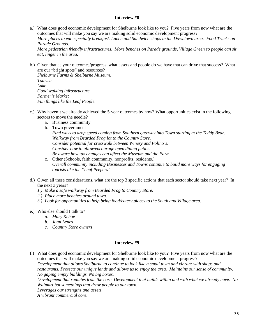- a.) What does good economic development for Shelburne look like to you? Five years from now what are the outcomes that will make you say we are making solid economic development progress? *More places to eat especially breakfast. Lunch and Sandwich shops in the Downtown area. Food Trucks on Parade Grounds. More pedestrian friendly infrastructures. More benches on Parade grounds, Village Green so people can sit, eat, linger in the area.*
- b.) Given that as your outcomes/progress, what assets and people do we have that can drive that success? What are our "bright spots" and resources?

*Shelburne Farms & Shelburne Museum. Tourism Lake Good walking infrastructure Farmer's Market Fun things like the Leaf People.*

- c.) Why haven't we already achieved the 5-year outcomes by now? What opportunities exist in the following sectors to move the needle?
	- a. Business community b. Town government *Find ways to drop speed coming from Southern gateway into Town starting at the Teddy Bear. Walkway from Bearded Frog lot to the Country Store. Consider potential for crosswalk between Winery and Folino's. Consider how to allow/encourage open dining patios. Be aware how tax changes can affect the Museum and the Farm.*
	- c. Other (Schools, faith community, nonprofits, residents.) *Overall community including Businesses and Towns continue to build more ways for engaging tourists like the "Leaf Peepers"*
- d.) Given all these considerations, what are the top 3 specific actions that each sector should take next year? In the next 3 years?
	- *1.) Make a safe walkway from Bearded Frog to Country Store.*
	- *2.) Place more benches around town.*
	- *3.) Look for opportunities to help bring food/eatery places to the South and Village area.*
- e.) Who else should I talk to?
	- *a. Mary Kehoe*
	- *b. Joan Lenes*
	- *c. Country Store owners*

### **Interview #9**

f.) What does good economic development for Shelburne look like to you? Five years from now what are the outcomes that will make you say we are making solid economic development progress? *Development that allows Shelburne to continue to look like a small town and vibrant with shops and restaurants. Protects our unique lands and allows us to enjoy the area. Maintains our sense of community. No gaping empty buildings. No big boxes. Development that radiates from the core. Development that builds within and with what we already have. No Walmart but somethings that draw people to our town. Leverages our strengths and assets. A vibrant commercial core.*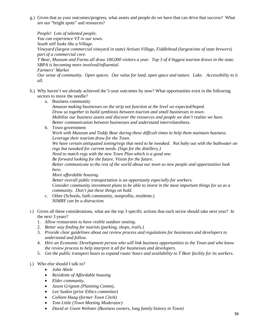g.) Given that as your outcomes/progress, what assets and people do we have that can drive that success? What are our "bright spots" and resources?

*People! Lots of talented people. You can experience VT in our town. South still looks like a Village. Vineyard (largest commercial vineyard in state) Artisan Village, Fiddlehead (largest/one of state brewers) part of a commercial core. T Bear, Museum and Farms all draw 100,000 visitors a year. Top 3 of 4 biggest tourism draws in the state. SBPA is becoming more involved/influential. Farmers' Market Our sense of community. Open spaces. Our value for land, open space and nature. Lake. Accessibility to it all.*

- h.) Why haven't we already achieved the 5-year outcomes by now? What opportunities exist in the following sectors to move the needle?
	- a. Business community

*Amazon making businesses on the strip not function at the level we expected/hoped. Draw us together to build symbiosis between tourism and small businesses in town. Mobilize our business assets and discover the resources and people we don't realize we have. Better communication between businesses and understand interrelatedness.* 

b. Town government

*Work with Museum and Teddy Bear during these difficult times to help them maintain business. Leverage their tourism draw for the Town.*

*We have certain antiquated zoning/regs that need to be tweaked. Not baby out with the bathwater on regs but tweaked for current needs. (Sign for the distillery.)* 

*Need to match regs with the new Town Plan which is a good one.*

*Be forward looking for the future. Vision for the future.*

*Better communicate to the rest of the world about our town so new people and opportunities look here.*

*More affordable housing.*

*Better overall public transportation is an opportunity especially for workers. Consider community investment plans to be able to invest in the most important things for us as a community. Don't put these things on hold.* 

- c. Other (Schools, faith community, nonprofits, residents.) *NIMBY can be a distraction.*
- i.) Given all these considerations, what are the top 3 specific actions that each sector should take next year? In the next 3 years?
	- 1. *Allow restaurants to have visible outdoor seating.*
	- 2. *Better way finding for tourists (parking, shops, trails.)*
	- 3. *Provide clear guidelines about out review process and regulations for businesses and developers to understand and follow.*
	- 4. *Hire an Economic Development person who will link business opportunities to the Town and who know the review process to help interpret it all for businesses and developers.*
	- 5. *Get the public transport buses to expand route/ hours and availability to T Bear facility for its workers.*

### j.) Who else should I talk to?

- *John Abele*
- *Residents of Affordable housing*
- *Elder community*.
- *Jason Grignon (Planning Comm),*
- *Lee Suskin (prior Ethics committee)*
- *Colleen Haag (former Town Clerk)*
- *Tom Little (Town Meeting Moderator)*
- *David or Gwen Webster (Business owners, long family history in Town)*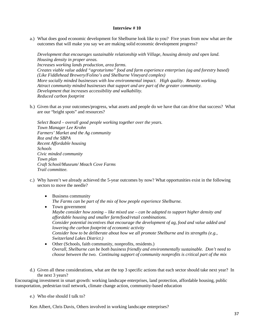a.) What does good economic development for Shelburne look like to you? Five years from now what are the outcomes that will make you say we are making solid economic development progress?

*Development that encourages sustainable relationship with Village, housing density and open land. Housing density in proper areas. Increases working lands production, area farms. Creates viable value added "agroturismo" food and farm experience enterprises (ag and forestry based) (Like Fiddlehead Brewery/Folino's and Shelburne Vineyard complex) More socially minded businesses with low environmental impact. High quality. Remote working. Attract community minded businesses that support and are part of the greater community. Development that increases accessibility and walkability. Reduced carbon footprint*

b.) Given that as your outcomes/progress, what assets and people do we have that can drive that success? What are our "bright spots" and resources?

*Select Board – overall good people working together over the years. Town Manager Lee Krohn Farmers' Market and the Ag community Roz and the SBPA Recent Affordable housing Schools Civic minded community Town plan Craft School/Museum/ Meach Cove Farms Trail committee.*

- c.) Why haven't we already achieved the 5-year outcomes by now? What opportunities exist in the following sectors to move the needle?
	- Business community *The Farms can be part of the mix of how people experience Shelburne.*
	- Town government *Maybe consider how zoning – like mixed use – can be adapted to support higher density and affordable housing and smaller farm/food/retail combinations. Consider potential incentives that encourage the development of ag, food and value added and lowering the carbon footprint of economic activity Consider how to be deliberate about how we all promote Shelburne and its strengths (e.g., Switzerland Lakes District.)*
	- Other (Schools, faith community, nonprofits, residents.) *Overall, Shelburne can be both business friendly and environmentally sustainable. Don't need to choose between the two. Continuing support of community nonprofits is critical part of the mix*
- d.) Given all these considerations, what are the top 3 specific actions that each sector should take next year? In the next 3 years?

Encouraging investment in smart growth: working landscape enterprises, land protection, affordable housing, public transportation, pedestrian trail network, climate change action, community-based education

e.) Who else should I talk to?

Ken Albert, Chris Davis, Others involved in working landscape enterprises?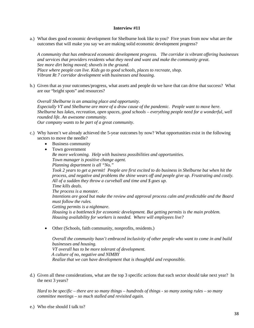a.) What does good economic development for Shelburne look like to you? Five years from now what are the outcomes that will make you say we are making solid economic development progress?

*A community that has embraced economic development progress. The corridor is vibrant offering businesses and services that providers residents what they need and want and make the community great. See more dirt being moved; shovels in the ground. Place where people can live. Kids go to good schools, places to recreate, shop. Vibrant Rt 7 corridor development with businesses and housing.*

b.) Given that as your outcomes/progress, what assets and people do we have that can drive that success? What are our "bright spots" and resources?

*Overall Shelburne is an amazing place and opportunity. Especially VT and Shelburne are more of a draw cause of the pandemic. People want to move here. Shelburne has lakes, recreation, open spaces, good schools – everything people need for a wonderful, well rounded life. An awesome community. Our company wants to be part of a great community.*

- c.) Why haven't we already achieved the 5-year outcomes by now? What opportunities exist in the following sectors to move the needle?
	- Business community
	- Town government

*Be more welcoming. Help with business possibilities and opportunities. Town manager is positive change agent. Planning department is all "No." Took 2 years to get a permit! People are first excited to do business in Shelburne but when hit the process, and negative and problems the shine wears off and people give up. Frustrating and costly. All of a sudden they throw a curveball and time and \$ goes up. Time kills deals. The process is a monster. Intentions are good but make the review and approval process calm and predictable and the Board must follow the rules. Getting permits is a nightmare.*

*Housing is a bottleneck for economic development. But getting permits is the main problem. Housing availability for workers is needed. Where will employees live?*

• Other (Schools, faith community, nonprofits, residents.)

*Overall the community hasn't embraced inclusivity of other people who want to come in and build businesses and housing. VT overall has to be more tolerant of development. A culture of no, negative and NIMBY Realize that we can have development that is thoughtful and responsible.*

d.) Given all these considerations, what are the top 3 specific actions that each sector should take next year? In the next 3 years?

*Hard to be specific – there are so many things – hundreds of things - so many zoning rules – so many committee meetings – so much stalled and revisited again.*

e.) Who else should I talk to?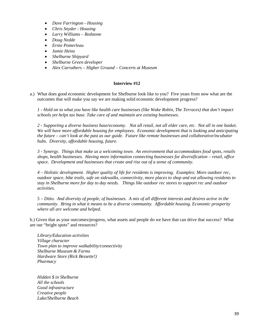- *Dave Farrington - Housing*
- *Chris Snyder - Housing*
- *Larry Williams – Redstone*
- *Doug Nedde*
- *Ernie Pomerleau*
- *Jamie Heins*
- *Shelburne Shipyard*
- *Shelburne Green developer*
- *Alex Carruthers – Higher Ground – Concerts at Museum*

a.) What does good economic development for Shelburne look like to you? Five years from now what are the outcomes that will make you say we are making solid economic development progress?

*1 - Hold on to what you have like health care businesses (like Wake Robin, The Terraces) that don't impact schools yet helps tax base. Take care of and maintain are existing businesses.* 

*2 - Supporting a diverse business base/economy. Not all retail, not all elder care, etc. Not all in one basket. We will have more affordable housing for employees. Economic development that is looking and anticipating the future – can't look at the past as our guide. Future like remote businesses and collaborative/incubator hubs. Diversity, affordable housing, future.*

*3 - Synergy. Things that make us a welcoming town. An environment that accommodates food spots, retails shops, health businesses. Having more information connecting businesses for diversification – retail, office space. Development and businesses that create and rise out of a sense of community.*

*4 – Holistic development. Higher quality of life for residents is improving. Examples: More outdoor rec, outdoor space, bike trails, safe on sidewalks, connectivity, more places to shop and eat allowing residents to stay in Shelburne more for day to day needs. Things like outdoor rec stores to support rec and outdoor activities.*

*5 – Ditto. And diversity of people, of businesses. A mix of all different interests and desires active in the community. Bring in what it means to be a diverse community. Affordable housing. Economic prosperity where all are welcome and helped.*

b.) Given that as your outcomes/progress, what assets and people do we have that can drive that success? What are our "bright spots" and resources?

*Library/Education activities Village character Town plan to improve walkability/connectivity Shelburne Museum & Farms Hardware Store (Rick Bessette!) Pharmacy*

*Hidden \$ in Shelburne All the schools Good infrastructure Creative people Lake/Shelburne Beach*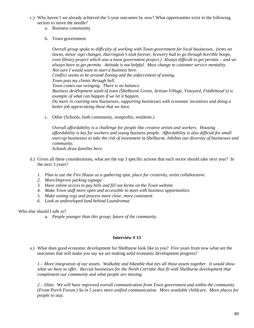- c.) Why haven't we already achieved the 5-year outcomes by now? What opportunities exist in the following sectors to move the needle?
	- a. Business community
	- b. Town government

*Overall group spoke to difficulty of working with Town government for local businesses. (tents on lawns, minor sign changes, Harrington's took forever, brewery had to go through horrible hoops, even library project which was a town government project.) Always difficult to get permits – and we always have to get permits. Attitude is not helpful. Must change to customer service mentality. Not sure I would want to start a business here. Conflict seems to be around Zoning and the enforcement of zoning. Town puts my clients through hell. Town comes out swinging. There is no balance. Business development south of town (Shelburne Green, Artisan Village, Vineyard, Fiddlehead's) is example of what can happen if we let it happen. Do more in courting new businesses, supporting businesses with economic incentives and doing a better job appreciating those that we have.*

c. Other (Schools, faith community, nonprofits, residents.)

*Overall affordability is a challenge for people like creative artists and workers. Housing affordability is key for workers and young business people. Affordability is also difficult for small start-up businesses to take the risk of investment in Shelburne. Inhibits our diversity of businesses and community. Schools draw families here.*

- d.) Given all these considerations, what are the top 3 specific actions that each sector should take next year? In the next 3 years?
	- *1. Plan to use the Fire House as a gathering spot, place for creativity, artist collaborative.*
	- *2. More/Improve parking signage*
	- *3. Have online access to pay bills and fill out forms on the Town website.*
	- *4. Make Town staff more open and accessible to meet with business opportunities.*
	- *5. Make zoning regs and process more clear, more consistent.*
	- *6. Look at undeveloped land behind Laundromat.*

### Who else should I talk to?

*a. People younger than this group; future of the community.*

# **Interview # 13**

a.) What does good economic development for Shelburne look like to you? Five years from now what are the outcomes that will make you say we are making solid economic development progress?

*1 – More integration of our assets. Walkable and bikeable that ties all those assets together. It would show what we have to offer. Recruit businesses for the North Corridor that fit with Shelburne development that complement our community and what people are missing.* 

*2 – Ditto. We will have improved overall communication from Town government and within the community. (Front Porch Forum.) So in 5 years more unified communication. More available childcare. More places for people to stay.*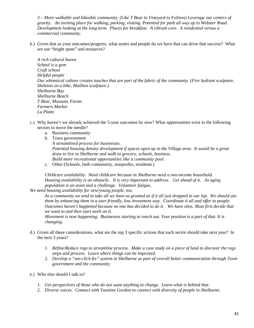*3 – More walkable and bikeable community. (Like T Bear to Vineyard to Folinos) Leverage our centers of gravity. An inviting place for walking, parking, visiting. Potential for path all way up to Webster Road. Development looking at the long term. Places for breakfast. A vibrant core. A residential versus a commercial community.* 

b.) Given that as your outcomes/progress, what assets and people do we have that can drive that success? What are our "bright spots" and resources?

*A rich cultural haven School is a gem Craft school Helpful people Our whimsical culture creates touches that are part of the fabric of the community. (Fire hydrant sculpture, Skeleton on a bike, Mailbox sculpture.) Shelburne Bay Shelburne Beach T Bear, Museum, Farms Farmers Market La Platte*

- c.) Why haven't we already achieved the 5-year outcomes by now? What opportunities exist in the following sectors to move the needle?
	- a. Business community
	- b. Town government
		- *A streamlined process for businesses. Potential housing density development if spaces open up in the Village area. It would be a great draw to live in Shelburne and walk to grocery, schools, business. Build more recreational opportunities like a community pool.*
	- c. Other (Schools, faith community, nonprofits, residents.)

*Childcare availability. Need childcare because in Shelburne need a two-income household. Housing availability is an obstacle. It is very important to address. Get ahead of it. As aging population is an asset and a challenge. Volunteer fatigue,*

*We need housing availability for new/young people, too.* 

*As a community we tend to take all we have as granted as if it all just dropped in our lap. We should use them by enhancing them in a user friendly, low investment way. Coordinate it all and offer to people. Outcomes haven't happened because no one has decided to do it. We have silos. Must first decide that we want to and then start work on it.*

*Movement is now happening. Businesses starting to reach out. Your position is a part of that. It is changing.*

- d.) Given all these considerations, what are the top 3 specific actions that each sector should take next year? In the next 3 years?
	- *1. Refine/Reduce regs to streamline process. Make a case study on a piece of land to discover the regs steps and process. Learn where things can be improved.*
	- *2. Develop a "see-click-fix" system in Shelburne as part of overall better communication through Town government and the community.*
- e.) Who else should I talk to?
	- *1. Get perspectives of those who do not want anything to change. Learn what is behind that.*
	- *2. Diverse voices. Connect with Yasmine Gordon to connect with diversity of people in Shelburne.*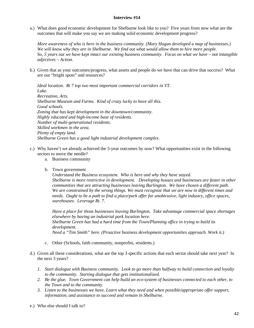a.) What does good economic development for Shelburne look like to you? Five years from now what are the outcomes that will make you say we are making solid economic development progress?

*More awareness of who is here in the business community. (Mary Hogan developed a map of businesses.) We will know why they are in Shelburne. We find out what would allow them to hire more people. So, 5 years out we have kept intact our existing business community. Focus on what we have – not intangible adjectives – Action.*

b.) Given that as your outcomes/progress, what assets and people do we have that can drive that success? What are our "bright spots" and resources?

*Ideal location. Rt 7 top two most important commercial corridors in VT. Lake. Recreation, Arts. Shelburne Museum and Farms. Kind of crazy lucky to have all this. Good schools. Zoning that has kept development in the downtown/community. Highly educated and high-income base of residents. Number of multi-generational residents. Skilled workmen in the area. Plenty of empty land. Shelburne Green has a good light industrial development complex.*

- c.) Why haven't we already achieved the 5-year outcomes by now? What opportunities exist in the following sectors to move the needle?
	- a. Business community
	- b. Town government

*Understand the Business ecosystem. Who is here and why they have stayed. Shelburne is more restrictive in development. Developing houses and businesses are faster in other communities that are attracting businesses leaving Burlington. We have chosen a different path. We are constrained by the wrong things. We must recognize that we are now in different times and needs. Ought to be a path to find a place/park offer for unobtrusive, light industry, office spaces, warehouses. Leverage Rt. 7.*

*Have a place for those businesses leaving Burlington. Take advantage commercial space shortages elsewhere by having an industrial park location here. Shelburne Green has had a hard time from the Town/Planning office in trying to build its development. Need a "Tim Smith" here. (Proactive business development opportunities approach. Work it.)* 

- c. Other (Schools, faith community, nonprofits, residents.)
- d.) Given all these considerations, what are the top 3 specific actions that each sector should take next year? In the next 3 years?
	- *1. Start dialogue with Business community. Look to go more than halfway to build connection and loyalty to the community. Starting dialogue that gets institutionalized.*
	- *2. Be the glue. Town Government can help build an eco-system of businesses connected to each other, to the Town and to the community.*
	- *3. Listen to the businesses we have. Learn what they need and when possible/appropriate offer support, information, and assistance to succeed and remain in Shelburne.*
- e.) Who else should I talk to?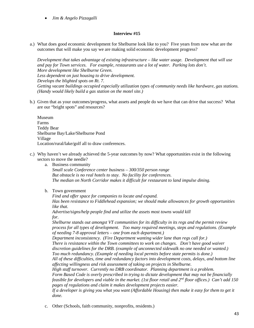• *Jim & Angelo Pizzagalli*

### **Interview #15**

a.) What does good economic development for Shelburne look like to you? Five years from now what are the outcomes that will make you say we are making solid economic development progress?

*Development that takes advantage of existing infrastructure – like water usage. Development that will use and pay for Town services. For example, restaurants use a lot of water. Parking lots don't. More development like Shelburne Green. Less dependent on just housing to drive development. Develops the blighted spots on Rt. 7. Getting vacant buildings occupied especially utilization types of community needs like hardware, gas stations. (Handy would likely build a gas station on the motel site.)*

b.) Given that as your outcomes/progress, what assets and people do we have that can drive that success? What are our "bright spots" and resources?

Museum Farms Teddy Bear Shelburne Bay/Lake/Shelburne Pond Village Location/rural/lake/golf all to draw conferences.

c.) Why haven't we already achieved the 5-year outcomes by now? What opportunities exist in the following sectors to move the needle?

a. Business community

*Small scale Conference center business – 300/350 person range But obstacle is no real hotels to stay. No facility for conferences. The median on North Corridor makes it difficult for restaurant to land impulse dining.* 

b. Town government

*Find and offer space for companies to locate and expand. Has been resistance to Fiddlehead expansion; we should make allowances for growth opportunities like that.*

*Advertise/signs/help people find and utilize the assets most towns would kill for.*

*Shelburne stands out amongst VT communities for its difficulty in its regs and the permit review process for all types of development. Too many required meetings, steps and regulations. (Example of needing 7-8 approval letters – one from each department.)*

*Department inconsistency. (Fire Department wanting wider lane than regs call for.) There is resistance within the Town committees to work on changes. Don't have good waiver discretion guidelines for the DRB. (example of unconnected sidewalk no one needed or wanted.) Too much redundancy. (Example of needing local permits before state permits is done.)*

*All of these difficulties, time and redundancy factors into development costs, delays, and bottom line affecting willingness and risk assessment of taking on projects in Shelburne.*

*High staff turnover. Currently no DRB coordinator. Planning department is a problem. Form Based Code is overly prescribed in trying to dictate development that may not be financially feasible for developers and viable in the market. (1st floor retail and 2nd floor offices.) Can't add 150 pages of regulations and claim it makes development projects easier.*

*If a developer is giving you what you want (Affordable Housing) then make it easy for them to get it done.*

c. Other (Schools, faith community, nonprofits, residents.)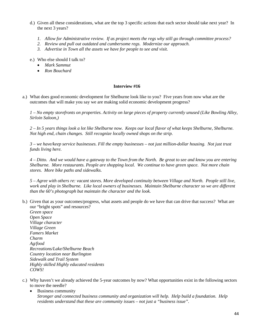- d.) Given all these considerations, what are the top 3 specific actions that each sector should take next year? In the next 3 years?
	- *1. Allow for Administrative review. If as project meets the regs why still go through committee process?*
	- *2. Review and pull out outdated and cumbersome regs. Modernize our approach.*
	- *3. Advertise in Town all the assets we have for people to see and visit.*
- e.) Who else should I talk to?
	- *Mark Sammut*
	- *Ron Bouchard*

a.) What does good economic development for Shelburne look like to you? Five years from now what are the outcomes that will make you say we are making solid economic development progress?

*1 – No empty storefronts on properties. Activity on large pieces of property currently unused (Like Bowling Alley, Sirloin Saloon,)*

*2 – In 5 years things look a lot like Shelburne now. Keeps our local flavor of what keeps Shelburne, Shelburne. Not high end, chain changes. Still recognize locally owned shops on the strip.*

*3 – we have/keep service businesses. Fill the empty businesses – not just million-dollar housing. Not just trust funds living here.*

*4 – Ditto. And we would have a gateway to the Town from the North. Be great to see and know you are entering Shelburne. More restaurants. People are shopping local. We continue to have green space. Not more chain stores. More bike paths and sidewalks.*

*5 – Agree with others re: vacant stores. More developed continuity between Village and North. People still live, work and play in Shelburne. Like local owners of businesses. Maintain Shelburne character so we are different than the 60's photograph but maintain the character and the look.*

b.) Given that as your outcomes/progress, what assets and people do we have that can drive that success? What are our "bright spots" and resources?

*Green space Open Space Village character Village Green Famers Market Charm Ag/food Recreations/Lake/Shelburne Beach Country location near Burlington Sidewalk and Trail System Highly skilled Highly educated residents COWS!*

- c.) Why haven't we already achieved the 5-year outcomes by now? What opportunities exist in the following sectors to move the needle?
	- Business community *Stronger and connected business community and organization will help. Help build a foundation. Help residents understand that these are community issues – not just a "business issue".*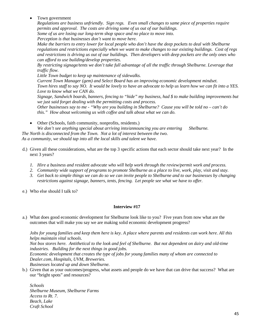Town government

*Regulations are business unfriendly. Sign regs. Even small changes to same piece of properties require permits and approval. The costs are driving some of us out of our buildings. Some of us are losing our long-term shop space and no place to move into.*

*Perception is that businesses don't want to move here.* 

*Make the barriers to entry lower for local people who don't have the deep pockets to deal with Shelburne regulations and restrictions especially when we want to make changes to our existing buildings. Cost of regs and restrictions is driving us out of our buildings. Then developers with deep pockets are the only ones who can afford to use building/develop properties.*

*By restricting signage/tents we don't take full advantage of all the traffic through Shelburne. Leverage that traffic flow.*

*Little Town budget to keep up maintenance of sidewalks.*

*Current Town Manager (gem) and Select Board has an improving economic development mindset. Town hires staff to say NO. It would be lovely to have an advocate to help us learn how we can fit into a YES. Love to know what we CAN do.*

*Signage, Sandwich boards, banners, fencing to "hide" my business, had \$ to make building improvements but we just said forget dealing with the permitting costs and process.* 

*Other businesses say to me - "Why are you building in Shelburne? Cause you will be told no – can't do this." How about welcoming us with coffee and talk about what we can do.*

• Other (Schools, faith community, nonprofits, residents.)

We don't see anything special about arriving into/announcing you are entering Shelburne.  *The North is disconnected from the Town. Not a lot of interest between the two. As a community, we should tap into all the local skills and talent we have.* 

- d.) Given all these considerations, what are the top 3 specific actions that each sector should take next year? In the next 3 years?
	- *1. Hire a business and resident advocate who will help work through the review/permit work and process.*
	- *2. Community wide support of programs to promote Shelburne as a place to live, work, play, visit and stay.*
	- *3. Get back to simple things we can do so we can invite people to Shelburne and to our businesses by changing restrictions against signage, banners, tents, fencing. Let people see what we have to offer.*
- e.) Who else should I talk to?

### **Interview #17**

a.) What does good economic development for Shelburne look like to you? Five years from now what are the outcomes that will make you say we are making solid economic development progress?

*Jobs for young families and keep them here is key. A place where parents and residents can work here. All this helps maintain vital schools.* 

*Not box stores here. Antithetical to the look and feel of Shelburne. But not dependent on dairy and old-time industries. Building for the next things in good jobs.*

*Economic development that creates the type of jobs for young families many of whom are connected to Dealer.com, Hospitals, UVM, Breweries. Businesses located up and down Shelburne.* 

b.) Given that as your outcomes/progress, what assets and people do we have that can drive that success? What are our "bright spots" and resources?

*Schools Shelburne Museum, Shelburne Farms Access to Rt. 7. Beach, Lake Craft School*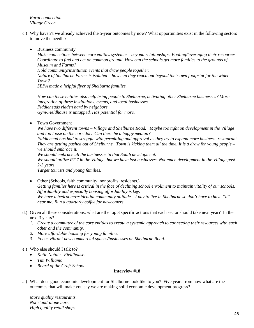*Rural connection Village Green*

- c.) Why haven't we already achieved the 5-year outcomes by now? What opportunities exist in the following sectors to move the needle?
	- Business community

*Make connections between core entities systemic – beyond relationships. Pooling/leveraging their resources. Coordinate to find and act on common ground. How can the schools get more families to the grounds of Museum and Farms?* 

*Hold community/institution events that draw people together.*

*Nature of Shelburne Farms is isolated – how can they reach out beyond their own footprint for the wider Town?*

*SBPA made a helpful flyer of Shelburne families.*

*How can these entities also help bring people to Shelburne, activating other Shelburne businesses? More integration of these institutions, events, and local businesses. Fiddleheads ridden hard by neighbors. Gym/Fieldhouse is untapped. Has potential for more.*

• Town Government

*We have two different towns – Village and Shelburne Road. Maybe too tight on development in the Village and too loose on the corridor. Can there be a happy median?*

*Fiddlehead has had to struggle with permitting and approval as they try to expand more business, restaurant. They are getting pushed out of Shelburne. Town is kicking them all the time. It is a draw for young people – we should embrace it.*

*We should embrace all the businesses in that South development.*

*We should utilize RT 7 in the Village, but we have lost businesses. Not much development in the Village past 2-3 years.* 

*Target tourists and young families.*

- Other (Schools, faith community, nonprofits, residents.) *Getting families here is critical in the face of declining school enrollment to maintain vitality of our schools. Affordability and especially housing affordability is key. We have a bedroom/residential community attitude – I pay to live in Shelburne so don't have to have "it" near me. Run a quarterly coffee for newcomers.*
- d.) Given all these considerations, what are the top 3 specific actions that each sector should take next year? In the next 3 years?
	- *1. Create a committee of the core entities to create a systemic approach to connecting their resources with each other and the community.*
	- *2. More affordable housing for young families.*
	- 3. *Focus vibrant new commercial spaces/businesses on Shelburne Road*.
- e.) Who else should I talk to?
	- *Katie Natale. Fieldhouse.*
	- *Tim Williams*
	- *Board of the Craft School*

# **Interview #18**

a.) What does good economic development for Shelburne look like to you? Five years from now what are the outcomes that will make you say we are making solid economic development progress?

*More quality restaurants. Not stand-alone bars. High quality retail shops.*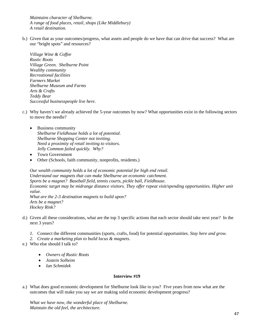*Maintains character of Shelburne. A range of food places, retail, shops (Like Middlebury) A retail destination.*

b.) Given that as your outcomes/progress, what assets and people do we have that can drive that success? What are our "bright spots" and resources?

*Village Wine & Coffee Rustic Roots Village Green. Shelburne Point Wealthy community Recreational facilities Farmers Market Shelburne Museum and Farms Arts & Crafts Teddy Bear Successful businesspeople live here*.

- c.) Why haven't we already achieved the 5-year outcomes by now? What opportunities exist in the following sectors to move the needle?
	- Business community *Shelburne Fieldhouse holds a lot of potential. Shelburne Shopping Center not inviting. Need a proximity of retail inviting to visitors. Jelly Common failed quickly. Why?*
	- Town Government
	- Other (Schools, faith community, nonprofits, residents.)

*Our wealth community holds a lot of economic potential for high end retail. Understand our magnets that can make Shelburne an economic catchment. Sports be a magnet? Baseball field, tennis courts, pickle ball, Fieldhouse. Economic target may be midrange distance visitors. They offer repeat visit/spending opportunities. Higher unit value. What are the 2-3 destination magnets to build upon? Arts be a magnet? Hockey Rink?*

- d.) Given all these considerations, what are the top 3 specific actions that each sector should take next year? In the next 3 years?
	- *1.* Connect the different communities (sports, crafts, food) for potential opportunities. *Stay here and grow.*
	- *2. Create a marketing plan to build locus & magnets.*
- e.) Who else should I talk to?
	- *Owners of Rustic Roots*
	- *Jostein Solheim*
	- *Ian Schmidek*

### **Interview #19**

a.) What does good economic development for Shelburne look like to you? Five years from now what are the outcomes that will make you say we are making solid economic development progress?

*What we have now, the wonderful place of Shelburne. Maintain the old feel, the architecture.*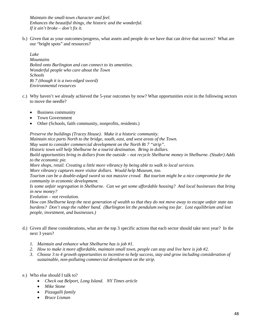*Maintain the small-town character and feel. Enhances the beautiful things, the historic and the wonderful. If it ain't broke – don't fix it.*

b.) Given that as your outcomes/progress, what assets and people do we have that can drive that success? What are our "bright spots" and resources?

*Lake Mountains Bolted onto Burlington and can connect to its amenities. Wonderful people who care about the Town Schools Rt 7 (though it is a two-edged sword) Environmental resources*

- c.) Why haven't we already achieved the 5-year outcomes by now? What opportunities exist in the following sectors to move the needle?
	- Business community
	- Town Government
	- Other (Schools, faith community, nonprofits, residents.)

*Preserve the buildings (Tracey House). Make it a historic community. Maintain nice parts North to the bridge, south, east, and west areas of the Town. May want to consider commercial development on the North Rt 7 "strip". Historic town will help Shelburne be a tourist destination. Bring in dollars. Build opportunities bring in dollars from the outside – not recycle Shelburne money in Shelburne. (Studer) Adds to the economic pie. More shops, retail. Creating a little more vibrancy by being able to walk to local services. More vibrancy captures more visitor dollars. Would help Museum, too. Tourism can be a double-edged sword so not massive crowd. But tourism might be a nice compromise for the community in economic development. Is some unfair segregation in Shelburne. Can we get some affordable housing? And local businesses that bring in new money? Evolution – not revolution. How can Shelburne keep the next generation of wealth so that they do not move away to escape unfair state tax burdens? Don't snap the rubber band. (Burlington let the pendulum swing too far. Lost equilibrium and lost people, investment, and businesses.)* 

- d.) Given all these considerations, what are the top 3 specific actions that each sector should take next year? In the next 3 years?
	- *1. Maintain and enhance what Shelburne has is job #1.*
	- *2. How to make it more affordable, maintain small town, people can stay and live here is job #2.*
	- *3. Choose 3 to 4 growth opportunities to incentive to help success, stay and grow including consideration of sustainable, non-polluting commercial development on the strip.*
- e.) Who else should I talk to?
	- *Check out Belport, Long Island. NY Times article*
	- *Mike Stone*
	- *Pizzagalli family*
	- *Bruce Lisman*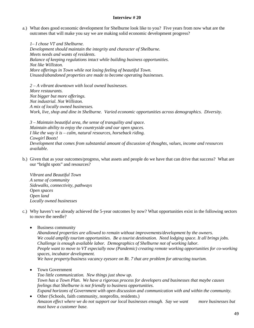a.) What does good economic development for Shelburne look like to you? Five years from now what are the outcomes that will make you say we are making solid economic development progress?

*1– I chose VT and Shelburne. Development should maintain the integrity and character of Shelburne. Meets needs and wants of residents. Balance of keeping regulations intact while building business opportunities. Not like Williston. More offerings in Town while not losing feeling of beautiful Town. Unused/abandoned properties are made to become operating businesses.*

*2 – A vibrant downtown with local owned businesses. More restaurants. Not bigger but more offerings. Not industrial. Not Williston. A mix of locally owned businesses. Work, live, shop and dine in Shelburne. Varied economic opportunities across demographics. Diversity.*

*3 – Maintain beautiful area, the sense of tranquility and space. Maintain ability to enjoy the countryside and our open spaces. I like the way it is – calm, natural resources, horseback riding. Cowgirl Boots! Development that comes from substantial amount of discussion of thoughts, values, income and resources available.*

b.) Given that as your outcomes/progress, what assets and people do we have that can drive that success? What are our "bright spots" and resources?

*Vibrant and Beautiful Town A sense of community Sidewalks, connectivity, pathways Open spaces Open land Locally owned businesses*

- c.) Why haven't we already achieved the 5-year outcomes by now? What opportunities exist in the following sectors to move the needle?
	- Business community

*Abandoned properties are allowed to remain without improvements/development by the owners. We could amplify tourism opportunities. Be a tourist destination. Need lodging space. It all brings jobs. Challenge is enough available labor. Demographics of Shelburne not of working labor. People want to move to VT especially now (Pandemic) creating remote working opportunities for co-working spaces, incubator development. We have property/business vacancy eyesore on Rt. 7 that are problem for attracting tourism.*

• Town Government

*Too little communication. New things just show up. Town has a Town Plan. We have a rigorous process for developers and businesses that maybe causes feelings that Shelburne is not friendly to business opportunities. Expand horizons of Government with open discussion and communication with and within the community.*

• Other (Schools, faith community, nonprofits, residents.) *Amazon effect where we do not support our local businesses enough. Say we want more businesses but must have a customer base.*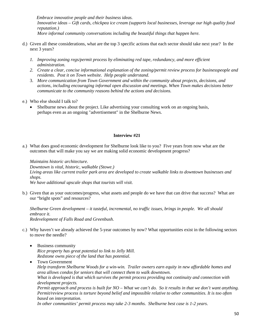*Embrace innovative people and their business ideas. Innovative ideas – Gift cards, chickpea ice cream (supports local businesses, leverage our high quality food reputation.) More informal community conversations including the beautiful things that happen here.*

- d.) Given all these considerations, what are the top 3 specific actions that each sector should take next year? In the next 3 years?
	- *1. Improving zoning regs/permit process by eliminating red tape, redundancy, and more efficient administration.*
	- *2. Create a clear, concise informational explanation of the zoning/permit review process for businesspeople and residents. Post it on Town website. Help people understand.*
	- 3. *More communication from Town Government and within the community about projects, decisions, and actions, including encouraging informal open discussion and meetings. When Town makes decisions better communicate to the community reasons behind the actions and decisions.*
- e.) Who else should I talk to?
	- Shelburne news about the project. Like advertising your consulting work on an ongoing basis, perhaps even as an ongoing "advertisement" in the Shelburne News.

### **Interview #21**

a.) What does good economic development for Shelburne look like to you? Five years from now what are the outcomes that will make you say we are making solid economic development progress?

*Maintains historic architecture. Downtown is vital, historic, walkable (Stowe.) Living areas like current trailer park area are developed to create walkable links to downtown businesses and shops. We have additional upscale shops that tourists will visit.*

b.) Given that as your outcomes/progress, what assets and people do we have that can drive that success? What are our "bright spots" and resources?

*Shelburne Green development – it tasteful, incremental, no traffic issues, brings in people. We all should embrace it. Redevelopment of Falls Road and Greenbush.*

- c.) Why haven't we already achieved the 5-year outcomes by now? What opportunities exist in the following sectors to move the needle?
	- Business community *Rice property has great potential to link to Jelly Mill. Redstone owns piece of the land that has potential.*
	- Town Government *Help transform Shelburne Woods for a win-win. Trailer owners earn equity in new affordable homes and area allows condos for seniors that will connect them to walk downtown. What is developed is that which survives the permit process providing not continuity and connection with development projects. Permit approach and process is built for NO – What we can't do. So it results in that we don't want anything. Permit/review process is torture beyond belief and impossible relative to other communities. It is too often based on interpretation. In other communities' permit process may take 2-3 months. Shelburne best case is 1-2 years*.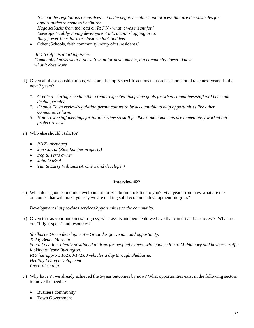*It is not the regulations themselves – it is the negative culture and process that are the obstacles for opportunities to come to Shelburne. Huge setbacks from the road on Rt 7 N - what it was meant for? Leverage Healthy Living development into a cool shopping area. Bury power lines for more historic look and feel.*

• Other (Schools, faith community, nonprofits, residents.)

#### *Rt 7 Traffic is a lurking issue.*

 *Community knows what it doesn't want for development, but community doesn't know what it does want.*

- d.) Given all these considerations, what are the top 3 specific actions that each sector should take next year? In the next 3 years?
	- *1. Create a hearing schedule that creates expected timeframe goals for when committees/staff will hear and decide permits.*
	- *2. Change Town review/regulation/permit culture to be accountable to help opportunities like other communities have.*
	- *3. Hold Town staff meetings for initial review so staff feedback and comments are immediately worked into project review.*
- e.) Who else should I talk to?
	- *RB Klinkenburg*
	- *Jim Carrol (Rice Lumber property)*
	- *Peg & Ter's owner*
	- *John DuBrul*
	- *Tim & Larry Williams (Archie's and developer)*

### **Interview #22**

a.) What does good economic development for Shelburne look like to you? Five years from now what are the outcomes that will make you say we are making solid economic development progress?

*Development that provides services/opportunities to the community.*

b.) Given that as your outcomes/progress, what assets and people do we have that can drive that success? What are our "bright spots" and resources?

*Shelburne Green development – Great design, vision, and opportunity. Teddy Bear. Museum South Location. Ideally positioned to draw for people/business with connection to Middlebury and business traffic looking to leave Burlington. Rt 7 has approx. 16,000-17,000 vehicles a day through Shelburne. Healthy Living development Pastoral setting* 

- c.) Why haven't we already achieved the 5-year outcomes by now? What opportunities exist in the following sectors to move the needle?
	- Business community
	- Town Government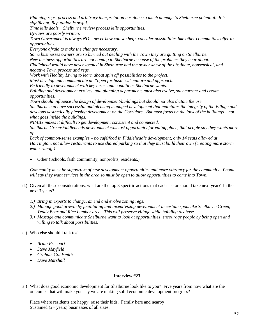*Planning regs, process and arbitrary interpretation has done so much damage to Shelburne potential. It is significant. Reputation is awful.*

*Time kills deals. Shelburne review process kills opportunities.*

*By-laws are poorly written.*

*Town Government is always NO – never how can we help, consider possibilities like other communities offer to opportunities.*

*Everyone afraid to make the changes necessary.*

*Some businesses owners are so burned out dealing with the Town they are quitting on Shelburne. New business opportunities are not coming to Shelburne because of the problems they hear about. Fiddlehead would have never located in Shelburne had the owner knew of the obstinate, nonsensical, and negative Town process and regs.*

*Work with Healthy Living to learn about spin off possibilities to the project.*

*Must develop and communicate an "open for business" culture and approach.*

*Be friendly to development with key terms and conditions Shelburne wants.*

*Building and development evolves, and planning departments must also evolve, stay current and create opportunities.*

*Town should influence the design of development/buildings but should not also dictate the use. Shelburne can have successful and pleasing managed development that maintains the integrity of the Village and develops aesthetically pleasing development on the Corridors. But must focus on the look of the buildings – not what goes inside the buildings.*

*NIMBY makes it difficult to get development consistent and connected.*

*Shelburne Green/Fiddleheads development was lost opportunity for eating place, that people say they wants more of.*

*Lack of common-sense examples – no café/food in Fiddlehead's development, only 14 seats allowed at Harrington, not allow restaurants to use shared parking so that they must build their own (creating more storm water runoff.)* 

• Other (Schools, faith community, nonprofits, residents.)

*Community must be supportive of new development opportunities and more vibrancy for the community. People will say they want services in the area so must be open to allow opportunities to come into Town.*

- d.) Given all these considerations, what are the top 3 specific actions that each sector should take next year? In the next 3 years?
	- *1.) Bring in experts to change, amend and evolve zoning regs.*
	- *2.) Manage good growth by facilitating and incentivizing development in certain spots like Shelburne Green, Teddy Bear and Rice Lumber area. This will preserve village while building tax base.*
	- *3.) Message and communicate Shelburne want to look at opportunities, encourage people by being open and willing to talk about possibilities.*

# e.) Who else should I talk to?

- *Brian Precourt*
- *Steve Mayfield*
- *Graham Goldsmith*
- *Dave Marshall*

# **Interview #23**

a.) What does good economic development for Shelburne look like to you? Five years from now what are the outcomes that will make you say we are making solid economic development progress?

Place where residents are happy, raise their kids. Family here and nearby Sustained (2+ years) businesses of all sizes.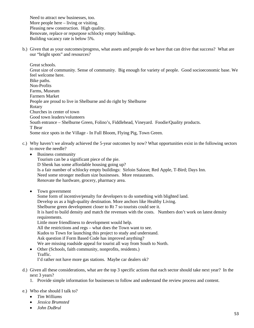Need to attract new businesses, too. More people here – living or visiting. Pleasing new construction. High quality. Renovate, replace or repurpose schlocky empty buildings. Building vacancy rate is below 5%.

b.) Given that as your outcomes/progress, what assets and people do we have that can drive that success? What are our "bright spots" and resources?

Great schools. Great size of community. Sense of community. Big enough for variety of people. Good socioeconomic base. We feel welcome here. Bike paths. Non-Profits Farms, Museum Farmers Market People are proud to live in Shelburne and do right by Shelburne Rotary Churches in center of town Good town leaders/volunteers South entrance – Shelburne Green, Folino's, Fiddlehead, Vineyard. Foodie/Quality products. T Bear Some nice spots in the Village - In Full Bloom, Flying Pig, Town Green.

- c.) Why haven't we already achieved the 5-year outcomes by now? What opportunities exist in the following sectors to move the needle?
	- Business community

Tourism can be a significant piece of the pie. D Shenk has some affordable housing going up? Is a fair number of schlocky empty buildings: Sirloin Saloon; Red Apple, T-Bird; Days Inn. Need some stronger medium size businesses. More restaurants. Renovate the hardware, grocery, pharmacy area.

• Town government

Some form of incentive/penalty for developers to do something with blighted land. Develop us as a high-quality destination. More anchors like Healthy Living. Shelburne green development closer to Rt 7 so tourists could see it. It is hard to build density and match the revenues with the costs. Numbers don't work on latest density requirements. Little more friendliness to development would help. All the restrictions and regs – what does the Town want to see. Kudos to Town for launching this project to study and understand. Ask question if Form Based Code has improved anything? We are missing roadside appeal for tourist all way from South to North. • Other (Schools, faith community, nonprofits, residents.)

- Traffic. I'd rather not have more gas stations. Maybe car dealers ok?
- d.) Given all these considerations, what are the top 3 specific actions that each sector should take next year? In the next 3 years?
	- 1. Provide simple information for businesses to follow and understand the review process and content.

# e.) Who else should I talk to?

- *Tim Williams*
- *Jessica Brumsted*
- *John DuBrul*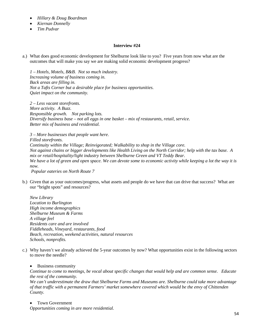- *Hillary & Doug Boardman*
- *Kiernan Donnelly*
- *Tim Pudvar*

a.) What does good economic development for Shelburne look like to you? Five years from now what are the outcomes that will make you say we are making solid economic development progress?

*1 – Hotels, Motels, B&B. Not so much industry. Increasing volume of business coming in. Back areas are filling in. Not a Tafts Corner but a desirable place for business opportunities. Quiet impact on the community.*

*2 – Less vacant storefronts. More activity. A Buzz. Responsible growth. Not parking lots. Diversify business base – not all eggs in one basket – mix of restaurants, retail, service. Better mix of business and residential.*

*3 – More businesses that people want here. Filled storefronts. Continuity within the Village; Reinvigorated; Walkability to shop in the Village core. Not against chains or bigger developments like Health Living on the North Corridor; help with the tax base. A mix or retail/hospitality/light industry between Shelburne Green and VT Teddy Bear*. *We have a lot of green and open space. We can devote some to economic activity while keeping a lot the way it is now.*

*Popular eateries on North Route 7*

b.) Given that as your outcomes/progress, what assets and people do we have that can drive that success? What are our "bright spots" and resources?

*New Library Location to Burlington High income demographics Shelburne Museum & Farms A village feel Residents care and are involved Fiddleheads, Vineyard, restaurants, food Beach, recreation, weekend activities, natural resources Schools, nonprofits.*

c.) Why haven't we already achieved the 5-year outcomes by now? What opportunities exist in the following sectors to move the needle?

#### • Business community

*Continue to come to meetings, be vocal about specific changes that would help and are common sense. Educate the rest of the community.*

*We can't underestimate the draw that Shelburne Farms and Museums are. Shelburne could take more advantage of that traffic with a permanent Farmers' market somewhere covered which would be the envy of Chittenden County.*

• Town Government

*Opportunities coming in are more residential.*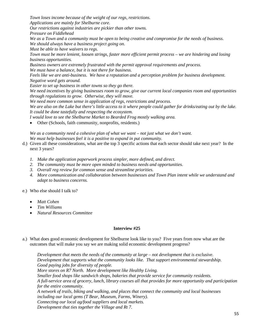*Town loses income because of the weight of our regs, restrictions. Applications are mainly for Shelburne core.*

*Our restrictions against industries are pickier than other towns.*

*Pressure on Fiddlehead*

*We as a Town and a community must be open to being creative and compromise for the needs of business. We should always have a business project going on.*

*Must be able to have waivers to regs.*

*Town must be more lenient, loosen strings, faster more efficient permit process – we are hindering and losing business opportunities.*

*Business owners are extremely frustrated with the permit approval requirements and process.*

*We must have a balance, but it is not there for business.*

*Feels like we are anti-business. We have a reputation and a perception problem for business development. Negative word gets around.*

*Easier to set up business in other towns so they go there.*

*We need incentives by giving businesses room to grow, give our current local companies room and opportunities through regulations to grow. Otherwise, they will move.*

*We need more common sense in application of regs, restrictions and process.* 

*We are also on the Lake but there's little access to it where people could gather for drinks/eating out by the lake. It could be done tastefully and respecting the ecosystem.*

*I would love to see the Shelburne Market to Bearded Frog mostly walking area.*

• Other (Schools, faith community, nonprofits, residents.)

*We as a community need a cohesive plan of what we want – not just what we don't want.*

*We must help businesses feel it is a positive to expand in put community.*

- d.) Given all these considerations, what are the top 3 specific actions that each sector should take next year? In the next 3 years?
	- *1. Make the application paperwork process simpler, more defined, and direct.*
	- *2. The community must be more open minded to business needs and opportunities.*
	- *3. Overall reg review for common sense and streamline priorities.*
	- *4. More communication and collaboration between businesses and Town Plan intent while we understand and adapt to business concerns.*

e.) Who else should I talk to?

- *Matt Cohen*
- *Tim Williams*
- *Natural Resources Committee*

### **Interview #25**

a.) What does good economic development for Shelburne look like to you? Five years from now what are the outcomes that will make you say we are making solid economic development progress?

*Development that meets the needs of the community at large – not development that is exclusive. Development that supports what the community looks like. That support environmental stewardship. Good paying jobs for diversity of people. More stores on R7 North. More development like Healthy Living. Smaller food shops like sandwich shops, bakeries that provide service for community residents. A full-service area of grocery, lunch, library courses all that provides for more opportunity and participation for the entire community. A network of trails, biking and walking, and places that connect the community and local businesses including our local gems (T Bear, Museum, Farms, Winery). Connecting our local ag/food suppliers and local markets. Development that ties together the Village and Rt 7.*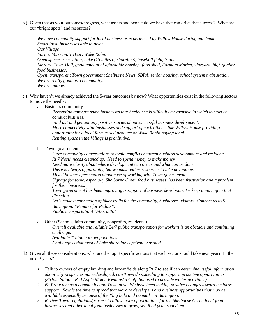b.) Given that as your outcomes/progress, what assets and people do we have that can drive that success? What are our "bright spots" and resources?

*We have community support for local business as experienced by Willow House during pandemic. Smart local businesses able to pivot. Our Village Farms, Museum, T Bear, Wake Robin Open spaces, recreation, Lake (15 miles of shoreline), baseball field, trails. Library, Town Hall, good amount of affordable housing, food shelf, Farmers Market, vineyard, high quality food businesses. Open, transparent Town government Shelburne News, SBPA, senior housing, school system train station. We are really good as a community. We are unique.*

- c.) Why haven't we already achieved the 5-year outcomes by now? What opportunities exist in the following sectors to move the needle?
	- a. Business community

*Perception amongst some businesses that Shelburne is difficult or expensive in which to start or conduct business.*

*Find out and get out any positive stories about successful business development. More connectivity with businesses and support of each other – like Willow House providing opportunity for a local farm to sell produce or Wake Robin buying local. Renting space in the Village is prohibitive.*

b. Town government

*Have community conversations to avoid conflicts between business development and residents. Rt 7 North needs cleaned up. Need to spend money to make money*

*Need more clarity about where development can occur and what can be done.* 

*There is always opportunity, but we must gather resources to take advantage.*

*Mixed business perception about ease of working with Town government.*

*Signage for some, especially Shelburne Green food businesses, has been frustration and a problem for their business.*

*Town government has been improving is support of business development – keep it moving in that direction.*

*Let's make a connection of biker trails for the community, businesses, visitors. Connect us to S Burlington. "Pennies for Pedals". Public transportation! Ditto, ditto!*

c. Other (Schools, faith community, nonprofits, residents.)

*Overall available and reliable 24/7 public transportation for workers is an obstacle and continuing challenge. Available Training to get good jobs.*

*Challenge is that most of Lake shoreline is privately owned.*

- d.) Given all these considerations, what are the top 3 specific actions that each sector should take next year? In the next 3 years?
	- *1.* Talk to owners of empty building and brownfields along Rt 7 to see if can *determine useful information about why properties not redeveloped, can Town do something to support, proactive opportunities. (Sirloin Saloon, Red Apple Motel, Kwiniaska Golf that used to provide winter activities.)*
	- *2. Be Proactive as a community and Town now. We have been making positive changes toward business support. Now is the time to spread that word to developers and business opportunities that may be available especially because of the "big hole and no mall" in Burlington.*
	- *3. Review Town regulations/process to allow more opportunities for the Shelburne Green local food businesses and other local food businesses to grow, sell food year-round, etc.*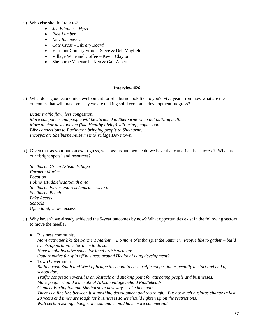## e.) Who else should I talk to?

- *Jen Whalen – Mysa*
- *Rice Lumber*
- *New Businesses*
- *Cate Cross – Library Board*
- Vermont Country Store Steve & Deb Mayfield
- Village Wine and Coffee Kevin Clayton
- Shelburne Vineyard Ken & Gail Albert

### **Interview #26**

a.) What does good economic development for Shelburne look like to you? Five years from now what are the outcomes that will make you say we are making solid economic development progress?

*Better traffic flow, less congestion. More companies and people will be attracted to Shelburne when not battling traffic. More anchor development (like Healthy Living) will bring people south. Bike connections to Burlington bringing people to Shelburne. Incorporate Shelburne Museum into Village Downtown.*

b.) Given that as your outcomes/progress, what assets and people do we have that can drive that success? What are our "bright spots" and resources?

*Shelburne Green Artisan Village Farmers Market Location Folino's/Fiddlehead/South area Shelburne Farms and residents access to it Shelburne Beach Lake Access Schools Open land, views, access*

c.) Why haven't we already achieved the 5-year outcomes by now? What opportunities exist in the following sectors to move the needle?

• Business community *More activities like the Farmers Market. Do more of it than just the Summer. People like to gather – build events/opportunities for them to do so. Have a collaborative space for local artists/artisans. Opportunities for spin off business around Healthy Living development?* • Town Government *Build a road South and West of bridge to school to ease traffic congestion especially at start and end of school day. Traffic congestion overall is an obstacle and sticking point for attracting people and businesses. More people should learn about Artisan village behind Fiddleheads. Connect Burlington and Shelburne in new ways – like bike paths. There is a fine line between just anything development and too tough. But not much business change in last 20 years and times are tough for businesses so we should lighten up on the restrictions. With certain zoning changes we can and should have more commercial.*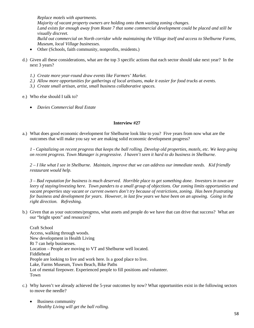*Replace motels with apartments. Majority of vacant property owners are holding onto them waiting zoning changes. Land exists far enough away from Route 7 that some commercial development could be placed and still be visually discreet. Build out commercial on North corridor while maintaining the Village itself and access to Shelburne Farms, Museum, local Village businesses.*

- Other (Schools, faith community, nonprofits, residents.)
- d.) Given all these considerations, what are the top 3 specific actions that each sector should take next year? In the next 3 years?
	- *1.) Create more year-round draw events like Farmers' Market.*
	- *2.) Allow more opportunities for gatherings of local artisans, make it easier for food trucks at events.*
	- *3.) Create small artisan, artist, small business collaborative spaces.*

### e.) Who else should I talk to?

• *Davies Commercial Real Estate*

# **Interview #27**

a.) What does good economic development for Shelburne look like to you? Five years from now what are the outcomes that will make you say we are making solid economic development progress?

*1 - Capitalizing on recent progress that keeps the ball rolling. Develop old properties, motels, etc. We keep going on recent progress. Town Manager is progressive. I haven't seen it hard to do business in Shelburne.*

*2 – I like what I see in Shelburne. Maintain, improve that we can address our immediate needs. Kid friendly restaurant would help.*

*3 – Bad reputation for business is much deserved. Horrible place to get something done. Investors in town are leery of staying/investing here. Town panders to a small group of objections. Our zoning limits opportunities and vacant properties stay vacant or current owners don't try because of restrictions, zoning. Has been frustrating for business and development for years. However, in last few years we have been on an upswing. Going in the right direction. Refreshing.* 

b.) Given that as your outcomes/progress, what assets and people do we have that can drive that success? What are our "bright spots" and resources?

Craft School Access, walking through woods. New development in Health Living Rt 7 can help businesses. Location – People are moving to VT and Shelburne well located. Fiddlehead People are looking to live and work here. Is a good place to live. Lake, Farms Museum, Town Beach, Bike Paths Lot of mental firepower. Experienced people to fill positions and volunteer. Town

- c.) Why haven't we already achieved the 5-year outcomes by now? What opportunities exist in the following sectors to move the needle?
	- Business community *Healthy Living will get the ball rolling.*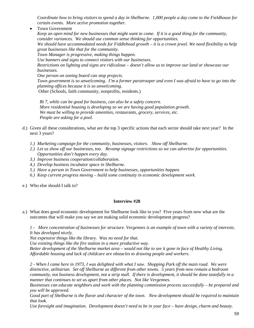*Coordinate how to bring visitors to spend a day in Shelburne. 1,000 people a day come to the Fieldhouse for certain events. More active promotion together.* 

• Town Government

*Keep an open mind for new businesses that might want to come. If it is a good thing for the community, consider variances. We should use common sense thinking for opportunities. We should have accommodated needs for Fiddlehead growth – it is a crown jewel. We need flexibility to help great businesses like that for the community. Town Manager is progressive, making things happen. Use banners and signs to connect visitors with our businesses. Restrictions on lighting and signs are ridiculous – doesn't allow us to improve our land or showcase our businesses. One person on zoning board can stop projects. Town government is so unwelcoming. I'm a former paratrooper and even I was afraid to have to go into the planning offices because it is so unwelcoming.* Other (Schools, faith community, nonprofits, residents.)

 *Rt 7, while can be good for business, can also be a safety concern. More residential housing is developing so we are having good population growth. We must be willing to provide amenities, restaurants, grocery, services, etc. People are asking for a pool.*

- d.) Given all these considerations, what are the top 3 specific actions that each sector should take next year? In the next 3 years?
	- *1.) Marketing campaign for the community, businesses, visitors. Show off Shelburne.*
	- *2.) Let us show off our businesses, too. Revamp signage restrictions so we can advertise for opportunities. Opportunities don't happen every day.*
	- *3.) Improve business cooperation/collaboration.*
	- *4.) Develop business incubator space in Shelburne.*
	- *5.) Have a person in Town Government to help businesses, opportunities happen.*
	- *6.) Keep current progress moving – build some continuity in economic development work.*

e.) Who else should I talk to?

#### **Interview #28**

a.) What does good economic development for Shelburne look like to you? Five years from now what are the outcomes that will make you say we are making solid economic development progress?

*1 - More concentration of businesses for structure. Vergennes is an example of town with a variety of interests. It has developed nicely.*

*Not expensive things like the library. Was no need for that.*

*Use existing things like the fire station in a more productive way.*

*Better development of the Shelburne market area – would not like to see it gone in face of Healthy Living. Affordable housing and lack of childcare are obstacles to drawing people and workers.*

*2 - When I came here in 1973, I was delighted with what I saw. Shopping Park off the main road. We were distinctive, utilitarian. Set off Shelburne as different from other towns. 5 years from now remain a bedroom community, not business development, not a strip mall. If there is development, it should be done tastefully in a manner that continues to set us apart from other places. Not like Vergennes.* 

*Businesses can educate neighbors and work with the planning commission process successfully – be prepared and you will be approved.*

*Good part of Shelburne is the flavor and character of the town. New development should be required to maintain that look.* 

*Use foresight and imagination. Development doesn't need to be in your face – have design, charm and beauty.*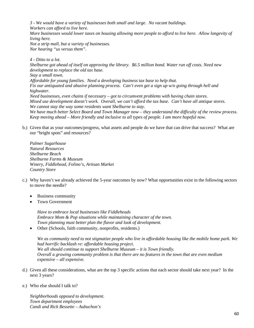*3 - We would have a variety of businesses both small and large. No vacant buildings.*

*Workers can afford to live here.* 

*More businesses would lower taxes on housing allowing more people to afford to live here. Allow longevity of living here.*

*Not a strip mall, but a variety of businesses. Nor hearing "us versus them".*

*4 - Ditto to a lot. Shelburne got ahead of itself on approving the library. \$6.5 million bond. Water run off costs. Need new development to replace the old tax base. Stay a small town. Affordable for young families. Need a developing business tax base to help that. Fix our antiquated and abusive planning process. Can't even get a sign up w/o going through hell and highwater. Need businesses, even chains if necessary – got to circumvent problems with having chain stores. Mixed use development doesn't work. Overall, we can't afford the tax base. Can't have all antique stores. We cannot stay the way some residents want Shelburne to stay. We have much better Select Board and Town Manager now – they understand the difficulty of the review process. Keep moving ahead – More friendly and inclusive to all types of people. I am more hopeful now.*

b.) Given that as your outcomes/progress, what assets and people do we have that can drive that success? What are our "bright spots" and resources?

*Palmer Sugarhouse Natural Resources Shelburne Beach Shelburne Farms & Museum Winery, Fiddlehead, Folino's, Artisan Market Country Store*

- c.) Why haven't we already achieved the 5-year outcomes by now? What opportunities exist in the following sectors to move the needle?
	- Business community
	- Town Government

*Have to embrace local businesses like Fiddleheads Embrace Mom & Pop situations while maintaining character of the town. Town planning must better plan the flavor and look of development.*

• Other (Schools, faith community, nonprofits, residents.)

*We as community need to not stigmatize people who live in affordable housing like the mobile home park. We had horrific backlash re: affordable housing project. We all should continue to support Shelburne Museum – it is Town friendly. Overall a growing community problem is that there are no features in the town that are even medium expensive – all expensive.*

- d.) Given all these considerations, what are the top 3 specific actions that each sector should take next year? In the next 3 years?
- e.) Who else should I talk to?

*Neighborhoods opposed to development. Town department employees Candi and Rick Bessette – Aubuchon's*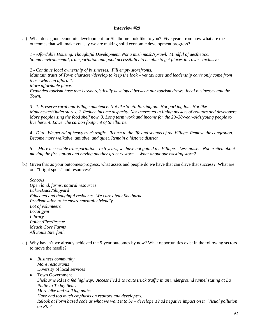a.) What does good economic development for Shelburne look like to you? Five years from now what are the outcomes that will make you say we are making solid economic development progress?

*1 - Affordable Housing. Thoughtful Development. Not a mish mash/sprawl. Mindful of aesthetics. Sound environmental, transportation and good accessibility to be able to get places in Town. Inclusive.* 

*2 - Continue local ownership of businesses. Fill empty storefronts. Maintain traits of Town character/develop to keep the look – yet tax base and leadership can't only come from those who can afford it. More affordable place.*

*Expanded tourism base that is synergistically developed between our tourism draws, local businesses and the Town.*

*3 - 1. Preserve rural and Village ambience. Not like South Burlington. Not parking lots. Not like Manchester/Outlet stores. 2. Reduce income disparity. Not interested in lining pockets of realtors and developers. More people using the food shelf now. 3. Long term work and income for the 20–30-year-olds/young people to live here. 4. Lower the carbon footprint of Shelburne.*

*4 - Ditto. We get rid of heavy truck traffic. Return to the life and sounds of the Village. Remove the congestion. Become more walkable, amiable, and quiet. Remain a historic district.* 

*5 - More accessible transportation. In 5 years, we have not gutted the Village. Less noise. Not excited about moving the fire station and having another grocery store. What about our existing store?*

b.) Given that as your outcomes/progress, what assets and people do we have that can drive that success? What are our "bright spots" and resources?

*Schools*

*Open land, farms, natural resources Lake/Beach/Shipyard Educated and thoughtful residents. We care about Shelburne. Predisposition to be environmentally friendly. Lot of volunteers Local gym Library Police/Fire/Rescue Meach Cove Farms All Souls Interfaith*

- c.) Why haven't we already achieved the 5-year outcomes by now? What opportunities exist in the following sectors to move the needle?
	- *Business community More restaurants* Diversity of local services
	- Town Government *Shelburne Rd is a fed highway. Access Fed \$ to route truck traffic in an underground tunnel stating at La Platte to Teddy Bear. More bike and walking paths. Have had too much emphasis on realtors and developers. Relook at Form based code as what we want it to be – developers had negative impact on it. Visual pollution on Rt. 7*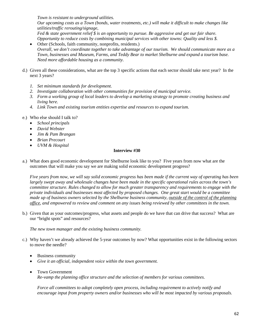*Town is resistant to underground utilities.*

*Our upcoming costs as a Town (bonds, water treatments, etc.) will make it difficult to make changes like utilities/traffic rerouting/signage,*

*Fed & state government relief \$ is an opportunity to pursue. Be aggressive and get our fair share. Opportunity to reduce costs by combining municipal services with other towns: Quality and less \$.*

- Other (Schools, faith community, nonprofits, residents.) *Overall, we don't coordinate together to take advantage of our tourism. We should communicate more as a Town, businesses and Museum, Farms, and Teddy Bear to market Shelburne and expand a tourism base. Need more affordable housing as a community.*
- d.) Given all these considerations, what are the top 3 specific actions that each sector should take next year? In the next 3 years?
	- *1. Set minimum standards for development.*
	- *2. Investigate collaboration with other communities for provision of municipal service.*
	- *3. Form a working group of local leaders to develop a marketing strategy to promote creating business and living here.*
	- *4. Link Town and existing tourism entities expertise and resources to expand tourism.*
- e.) Who else should I talk to?
	- *School principals*
	- *David Webster*
	- *Jim & Pam Brangan*
	- *Brian Precourt*
	- *UVM & Hospital*

# **Interview #30**

a.) What does good economic development for Shelburne look like to you? Five years from now what are the outcomes that will make you say we are making solid economic development progress?

*Five years from now, we will say solid economic progress has been made if the current way of operating has been largely swept away and wholesale changes have been made in the specific operational rules across the town's committee structure. Rules changed to allow for much greater transparency and requirements to engage with the private individuals and businesses most affected by proposed changes. One great start would be a committee made up of business owners selected by the Shelburne business community, outside of the control of the planning office, and empowered to review and comment on any issues being reviewed by other committees in the town.* 

b.) Given that as your outcomes/progress, what assets and people do we have that can drive that success? What are our "bright spots" and resources?

*The new town manager and the existing business community.* 

- c.) Why haven't we already achieved the 5-year outcomes by now? What opportunities exist in the following sectors to move the needle?
	- Business community
	- *Give it an official, independent voice within the town government.*
	- Town Government *Re-vamp the planning office structure and the selection of members for various committees.*

*Force all committees to adopt completely open process, including requirement to actively notify and encourage input from property owners and/or businesses who will be most impacted by various proposals.*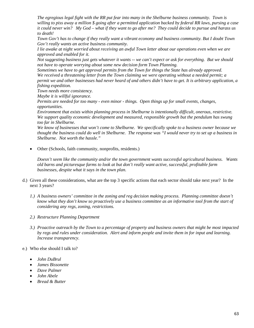*The egregious legal fight with the RR put fear into many in the Shelburne business community. Town is willing to piss away a million \$ going after a permitted application backed by federal RR laws, pursing a case it could never win? My God – what if they want to go after me? They could decide to pursue and harass us to death!*

*Town Gov't has to change if they really want a vibrant economy and business community. But I doubt Town Gov't really wants an active business community.*

*I lie awake at night worried about receiving an awful Town letter about our operations even when we are approved and enabled for it.*

*Not suggesting business just gets whatever it wants -- we can't expect or ask for everything. But we should not have to operate worrying about some new decision form Town Planning.*

*Sometimes we have to get approval permits from the Town for things the State has already approved. We received a threatening letter from the Town claiming we were operating without a needed permit; a permit we and other businesses had never heard of and others didn't have to get. It is arbitrary application, a fishing expedition.*

*Town needs more consistency.*

*Maybe it is willful ignorance.*

*Permits are needed for too many - even minor - things. Open things up for small events, changes, opportunities.*

*Environment that exists within planning process in Shelburne is intentionally difficult, onerous, restrictive. We support quality economic development and measured, responsible growth but the pendulum has swung too far in Shelburne.* 

*We know of businesses that won't come to Shelburne. We specifically spoke to a business owner because we thought the business could do well in Shelburne. The response was "I would never try to set up a business in Shelburne. Not worth the hassle."*

• Other (Schools, faith community, nonprofits, residents.)

*Doesn't seem like the community and/or the town government wants successful agricultural business. Wants old barns and picturesque farms to look at but don't really want active, successful, profitable farm businesses, despite what it says in the town plan.*

- d.) Given all these considerations, what are the top 3 specific actions that each sector should take next year? In the next 3 years?
	- *1.) A business owners' committee in the zoning and reg decision making process. Planning committee doesn't know what they don't know so proactively use a business committee as an informative tool from the start of considering any regs, zoning, restrictions.*
	- *2.) Restructure Planning Department*
	- *3.) Proactive outreach by the Town to a percentage of property and business owners that might be most impacted by regs and rules under consideration. Alert and inform people and invite them in for input and learning. Increase transparency.*
- e.) Who else should I talk to?
	- *John DuBrul*
	- *James Bissonette*
	- *Dave Palmer*
	- *John Abele*
	- *Bread & Butter*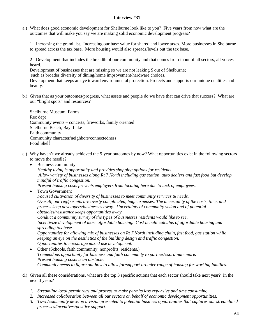a.) What does good economic development for Shelburne look like to you? Five years from now what are the outcomes that will make you say we are making solid economic development progress?

1 - Increasing the grand list. Increasing our base value for shared and lower taxes. More businesses in Shelburne to spread across the tax base. More housing would also spreads/levels out the tax base.

2 - Development that includes the breadth of our community and that comes from input of all sectors, all voices heard.

Development of businesses that are missing so we are not leaking \$ out of Shelburne;

such as broader diversity of dining/home improvement/hardware choices.

Development that keeps an eye toward environmental protection. Protects and supports our unique qualities and beauty.

b.) Given that as your outcomes/progress, what assets and people do we have that can drive that success? What are our "bright spots" and resources?

Shelburne Museum, Farms Rec dept Community events – concerts, fireworks, family oriented Shelburne Beach, Bay, Lake Faith community Community character/neighbors/connectedness Food Shelf

- c.) Why haven't we already achieved the 5-year outcomes by now? What opportunities exist in the following sectors to move the needle?
	- Business community *Healthy living is opportunity and provides shopping options for residents. Allow variety of businesses along Rt 7 North including gas station, auto dealers and fast food but develop mindful of traffic congestion. Present housing costs prevents employers from locating here due to lack of employees.*
	- Town Government

*Focused cultivation of diversity of businesses to meet community services & needs. Overall, our reg/permits are overly complicated, huge expenses. The uncertainty of the costs, time, and process keep developers/businesses away. Uncertainty of community vision and of potential obstacles/resistance keeps opportunities away.*

*Conduct a community survey of the types of businesses residents would like to see. Incentivize development of more affordable housing. Cost benefit calculus of affordable housing and spreading tax base.*

*Opportunities for allowing mix of businesses on Rt 7 North including chain, fast food, gas station while keeping an eye on the aesthetics of the building design and traffic congestion. Opportunities to encourage mixed use development.*

- Other (Schools, faith community, nonprofits, residents.) *Tremendous opportunity for business and faith community to partner/coordinate more. Present housing costs is an obstacle. Community needs to figure out how to allow for/support broader range of housing for working families*.
- d.) Given all these considerations, what are the top 3 specific actions that each sector should take next year? In the next 3 years?
	- *1. Streamline local permit regs and process to make permits less expensive and time consuming.*
	- *2. Increased collaboration between all our sectors on behalf of economic development opportunities.*
	- *3. Town/community develop a vision presented to potential business opportunities that captures our streamlined processes/incentives/positive support.*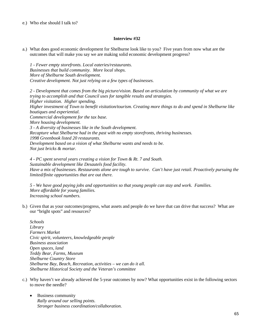e.) Who else should I talk to?

# **Interview #32**

a.) What does good economic development for Shelburne look like to you? Five years from now what are the outcomes that will make you say we are making solid economic development progress?

*1 - Fewer empty storefronts. Local eateries/restaurants. Businesses that build community. More local shops. More of Shelburne South development. Creative development. Not just relying on a few types of businesses.*

*2 - Development that comes from the big picture/vision. Based on articulation by community of what we are trying to accomplish and that Council uses for tangible results and strategies. Higher visitation. Higher spending. Higher investment of Town to benefit visitation/tourism. Creating more things to do and spend in Shelburne like boutiques and experiential. Commercial development for the tax base. More housing development. 3 - A diversity of businesses like in the South development. Recapture what Shelburne had in the past with no empty storefronts, thriving businesses. 1998 Greenbook listed 20 restaurants. Development based on a vision of what Shelburne wants and needs to be. Not just bricks & mortar.*

*4 - PC spent several years creating a vision for Town & Rt. 7 and South. Sustainable development like Desautels food facility. Have a mix of businesses. Restaurants alone are tough to survive. Can't have just retail. Proactively pursuing the limited/finite opportunities that are out there.*

*5 - We have good paying jobs and opportunities so that young people can stay and work. Families. More affordable for young families. Increasing school numbers.*

b.) Given that as your outcomes/progress, what assets and people do we have that can drive that success? What are our "bright spots" and resources?

*Schools Library Farmers Market Civic spirit, volunteers, knowledgeable people Business association Open spaces, land Teddy Bear, Farms, Museum Shelburne Country Store Shelburne Bay, Beach, Recreation, activities – we can do it all. Shelburne Historical Society and the Veteran's committee*

- c.) Why haven't we already achieved the 5-year outcomes by now? What opportunities exist in the following sectors to move the needle?
	- Business community *Rally around our selling points. Stronger business coordination/collaboration.*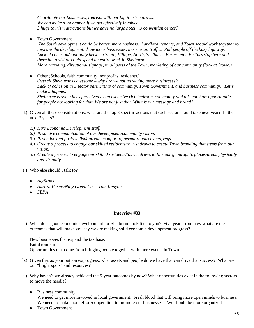*Coordinate our businesses, tourism with our big tourism draws. We can make a lot happen if we get effectively involved. 3 huge tourism attractions but we have no large hotel, no convention center?*

• Town Government

*The South development could be better, more business. Landlord, tenants, and Town should work together to improve the development, draw more businesses, more retail traffic. Pull people off the busy highway. Lack of cohesion/continuity between South, Village, North, Shelburne Farms, etc. Visitors stop here and there but a visitor could spend an entire week in Shelburne. More branding, directional signage, in all parts of the Town, marketing of our community (look at Stowe.)*

- Other (Schools, faith community, nonprofits, residents.) *Overall Shelburne is awesome – why are we not attracting more businesses? Lack of cohesion in 3 sector partnership of community, Town Government, and business community. Let's make it happen. Shelburne is sometimes perceived as an exclusive rich bedroom community and this can hurt opportunities for people not looking for that. We are not just that. What is our message and brand?*
- d.) Given all these considerations, what are the top 3 specific actions that each sector should take next year? In the next 3 years?
	- *1.) Hire Economic Development staff.*
	- *2.) Proactive communication of our development/community vision.*
	- *3.) Proactive and positive list/outreach/support of permit requirements, regs.*
	- *4.) Create a process to engage our skilled residents/tourist draws to create Town branding that stems from our vision.*
	- 5.) *Create a process to engage our skilled residents/tourist draws to link our geographic places/areas physically and virtually.*
- e.) Who else should I talk to?
	- *Ag/farms*
	- *Aurora Farms/Nitty Green Co. – Tom Kenyon*
	- *SBPA*

# **Interview #33**

a.) What does good economic development for Shelburne look like to you? Five years from now what are the outcomes that will make you say we are making solid economic development progress?

New businesses that expand the tax base. Build tourism. Opportunities that come from bringing people together with more events in Town.

- b.) Given that as your outcomes/progress, what assets and people do we have that can drive that success? What are our "bright spots" and resources?
- c.) Why haven't we already achieved the 5-year outcomes by now? What opportunities exist in the following sectors to move the needle?
	- Business community We need to get more involved in local government. Fresh blood that will bring more open minds to business. We need to make more effort/cooperation to promote our businesses. We should be more organized.
	- Town Government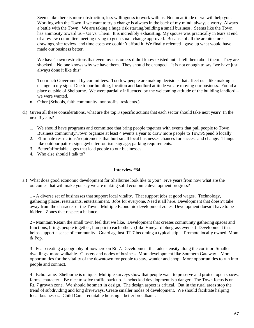Seems like there is more obstruction, less willingness to work with us. Not an attitude of we will help you. Working with the Town if we want to try a change is always in the back of my mind; always a worry. Always a battle with the Town. We are taking a huge risk starting/building a small business. Seems like the Town has animosity toward us – Us vs. Them. It is incredibly exhausting. My spouse was practically in tears at end of a review committee meeting trying to get a small change approved. Because of all the architecture drawings, site review, and time costs we couldn't afford it. We finally relented - gave up what would have made our business better.

We have Town restrictions that even my customers didn't know existed until I tell them about them. They are shocked. No one knows why we have them. They should be changed – It is not enough to say "we have just always done it like this".

Too much Government by committees. Too few people are making decisions that affect us – like making a change to my sign. Due to our building, location and landlord attitude we are moving our business. Found a place outside of Shelburne. We were partially influenced by the welcoming attitude of the building landlord – we were wanted.

- Other (Schools, faith community, nonprofits, residents.)
- d.) Given all these considerations, what are the top 3 specific actions that each sector should take next year? In the next 3 years?
	- 1. We should have programs and committee that bring people together with events that pull people to Town. Business community/Town organize at least 4 events a year to draw more people to Town/Spend \$ locally.
	- 2. Eliminate restrictions/requirements that hurt small local businesses chances for success and change. Things like outdoor patios; signage/better tourism signage; parking requirements.
	- 3. Better/affordable signs that lead people to our businesses.
	- 4. Who else should I talk to?

# **Interview #34**

a.) What does good economic development for Shelburne look like to you? Five years from now what are the outcomes that will make you say we are making solid economic development progress?

1 - A diverse set of businesses that support local vitality. That support jobs at good wages. Technology, gathering places, restaurants, entertainment. Jobs for everyone. Need it all here. Development that doesn't take away from the character of the Town. Multiple Economic development zones. Development doesn't have to be hidden. Zones that respect a balance.

2 - Maintain/Retain the small town feel that we like. Development that creates community gathering spaces and functions, brings people together, bump into each other. (Like Vineyard bluegrass events.) Development that helps support a sense of community. Guard against RT 7 becoming a typical stip. Promote locally owned, Mom & Pop.

3 - Fear creating a geography of nowhere on Rt. 7. Development that adds density along the corridor. Smaller dwellings, more walkable. Clusters and nodes of business. More development like Southern Gateway. More opportunities for the vitality of the downtown for people to stay, wander and shop. More opportunities to run into people and connect.

4 - Echo same. Shelburne is unique. Multiple surveys show that people want to preserve and protect open spaces, farms, character. Be nice to solve traffic back up. Unchecked development is a danger. The Town focus is on Rt. 7 growth zone. We should be smart in design. The design aspect is critical. Out in the rural areas stop the trend of subdividing and long driveways. Create smaller nodes of development. We should facilitate helping local businesses. Child Care – equitable housing – better broadband.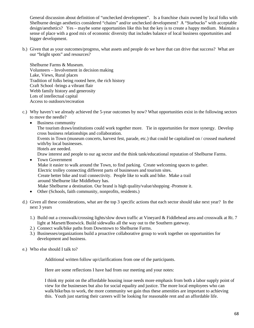General discussion about definition of "unchecked development". Is a franchise chain owned by local folks with Shelburne design aesthetics considered "chains" and/or unchecked development? A "Starbucks" with acceptable design/aesthetics? Yes – maybe some opportunities like this but the key is to create a happy medium. Maintain a sense of place with a good mix of economic diversity that includes balance of local business opportunities and bigger development.

b.) Given that as your outcomes/progress, what assets and people do we have that can drive that success? What are our "bright spots" and resources?

Shelburne Farms & Museum. Volunteers – Involvement in decision making Lake, Views, Rural places Tradition of folks being rooted here, the rich history Craft School -brings a vibrant flair Webb family history and generosity Lots of intellectual capital Access to outdoors/recreation

- c.) Why haven't we already achieved the 5-year outcomes by now? What opportunities exist in the following sectors to move the needle?
	- Business community The tourism draws/institutions could work together more. Tie in opportunities for more synergy. Develop cross business relationships and collaboration. Events in Town (museum concerts, harvest fest, parade, etc.) that could be capitalized on / crossed marketed with/by local businesses. Hotels are needed. Draw interest and people to our ag sector and the think tank/educational reputation of Shelburne Farms.
	- Town Government Make it easier to walk around the Town, to find parking. Create welcoming spaces to gather. Electric trolley connecting different parts of businesses and tourism sites. Create better bike and trail connectivity. People like to walk and bike. Make a trail around Shelburne like Middlebury has. Make Shelburne a destination. Our brand is high quality/value/shopping -Promote it.
	- Other (Schools, faith community, nonprofits, residents.)
- d.) Given all these considerations, what are the top 3 specific actions that each sector should take next year? In the next 3 years
	- 1.) Build out a crosswalk/crossing lights/slow down traffic at Vineyard & Fiddlehead area and crosswalk at Rt. 7 light at Marsett/Bostwick. Build sidewalks all the way out to the Southern gateway.
	- 2.) Connect walk/bike paths from Downtown to Shelburne Farms.
	- 3.) Businesses/organizations build a proactive collaborative group to work together on opportunities for development and business.
- e.) Who else should I talk to?

Additional written follow up/clarifications from one of the participants.

Here are some reflections I have had from our meeting and your notes:

I think my point on the affordable housing issue needs more emphasis from both a labor supply point of view for the businesses but also for social equality and justice. The more local employees who can walk/bike/bus to work, the more community we gain thus these amenities are important to achieving this. Youth just starting their careers will be looking for reasonable rent and an affordable life.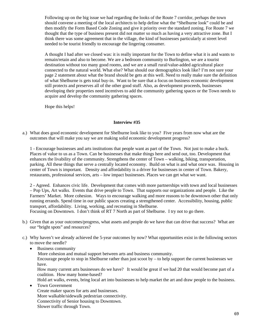Following up on the big issue we had regarding the looks of the Route 7 corridor, perhaps the town should convene a meeting of the local architects to help define what the "Shelburne look" could be and then modify the Form Based Code Zoning and give it priority over the standard zoning. For Route 7 we thought that the type of business present did not matter so much as having a very attractive zone. But I think there was some agreement that in the village, the kind of businesses particularly at street level needed to be tourist friendly to encourage the lingering consumer.

A thought I had after we closed was: it is really important for the Town to define what it is and wants to remain/retain and also to become. We are a bedroom community to Burlington, we are a tourist destination without too many good rooms, and we are a small rural/value-added agricultural place connected to the natural world. What else? What should our demographics look like? I'm not sure your page 2 statement about what the brand should be gets at this well. Need to really make sure the definition of what Shelburne is gets total buy-in. Want to be sure that a focus on business economic development still protects and preserves all of the other good stuff. Also, as development proceeds, businesses developing their properties need incentives to add the community gathering spaces or the Town needs to acquire and develop the community gathering spaces.

Hope this helps!

### **Interview #35**

a.) What does good economic development for Shelburne look like to you? Five years from now what are the outcomes that will make you say we are making solid economic development progress?

1 - Encourage businesses and arts institutions that people want as part of the Town. Not just to make a buck. Places of value to us as a Town. Can be businesses that make things here and send out, too. Development that enhances the livability of the community. Strengthens the center of Town – walking, biking, transportation, parking. All these things that serve a centrally located economy. Build on what is and what once was. Housing in center of Town is important. Density and affordability is a driver for businesses in center of Town. Bakery, restaurants, professional services, arts – low impact businesses. Places we can get what we want.

2 - Agreed. Enhances civic life. Development that comes with more partnerships with town and local businesses – Pop Ups, Art walks. Events that drive people to Town. That supports our organizations and people. Like the Farmers' Market. More cohesion. Ways to encourage walking and more reasons to be downtown other that only running errands. Spend time in our public spaces creating a strengthened center. Accessibility, housing, public transport, affordability. Living, working, and recreating in Shelburne.

Focusing on Downtown. I don't think of RT 7 North as part of Shelburne. I try not to go there.

- b.) Given that as your outcomes/progress, what assets and people do we have that can drive that success? What are our "bright spots" and resources?
- c.) Why haven't we already achieved the 5-year outcomes by now? What opportunities exist in the following sectors to move the needle?
	- Business community

More cohesion and mutual support between arts and business community.

Encourage people to stop in Shelburne rather than just scoot by  $-$  to help support the current businesses we have.

How many current arts businesses do we have? It would be great if we had 20 that would become part of a coalition. How many home-based?

Hold art walks, events, bring local art into businesses to help market the art and draw people to the business.

Town Government Create maker spaces for arts and businesses. More walkable/sidewalk pedestrian connectivity. Connectivity of Senior housing to Downtown. Slower traffic through Town.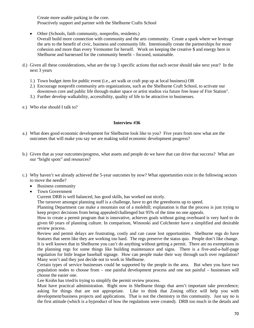Create more usable parking in the core. Proactively support and partner with the Shelburne Crafts School

- Other (Schools, faith community, nonprofits, residents.) Overall build more connection with community and the arts community. Create a spark where we leverage the arts to the benefit of civic, business and community life. Intentionally create the partnerships for more cohesion and more than every Vermonter for herself. Work on keeping the creative \$ and energy here in Shelburne and harnessed for the community benefit – focused, sustainable.
- d.) Given all these considerations, what are the top 3 specific actions that each sector should take next year? In the next 3 years
	- 1.) Town budget item for public event (i.e., art walk or craft pop up at local business) OR
	- 2.) Encourage nonprofit community arts organizations, such as the Shelburne Craft School, to activate our downtown core and public life through maker space or artist studios via future free lease of Fire Station".
	- 3.) Further develop walkability, accessibility, quality of life to be attractive to businesses.
- e.) Who else should I talk to?

### **Interview #36**

- a.) What does good economic development for Shelburne look like to you? Five years from now what are the outcomes that will make you say we are making solid economic development progress?
- b.) Given that as your outcomes/progress, what assets and people do we have that can drive that success? What are our "bright spots" and resources?
- c.) Why haven't we already achieved the 5-year outcomes by now? What opportunities exist in the following sectors to move the needle?
	- Business community
	- Town Government

Current DRB is well balanced, has good skills, has worked out nicely.

The turnover amongst planning staff is a challenge, have to get the greenhorns up to speed.

Planning Department can make a mountain out of a molehill; explanation is that the process is just trying to keep project decisions from being appealed/challenged but 95% of the time no one appeals.

How to create a permit program that is innovative, achieves goals without going overboard is very hard to do given 60 years of planning culture. In comparison, Winooski and Colchester have a simplified and desirable review process.

Review and permit delays are frustrating, costly and can cause lost opportunities. Shelburne regs do have features that seem like they are working too hard. The regs preserve the status quo. People don't like change. It is well known that in Shelburne you can't do anything without getting a permit. There are no exemptions in the planning regs for some things like building maintenance and signs. There is a five-and-a-half-page regulation for little league baseball signage. How can people make their way through such over regulation? Many won't and they just decide not to work in Shelburne.

Certain types of service businesses could be supported by the people in the area. But when you have two population nodes to choose from – one painful development process and one not painful – businesses will choose the easier one.

Lee Krohn has tried/is trying to simplify the permit review process.

Must have practical administration. Right now in Shelburne things that aren't important take precedence; asking for things that are not appropriate. Like to think that Zoning office will help you with development/business projects and applications. That is not the chemistry in this community. Just say no is the first attitude (which is a byproduct of how the regulations were created). DRB too much in the details and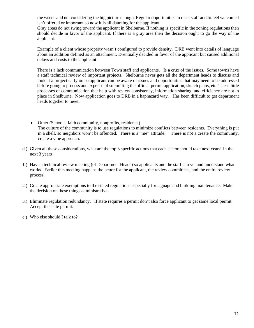the weeds and not considering the big picture enough. Regular opportunities to meet staff and to feel welcomed isn't offered or important so now it is all daunting for the applicant.

Gray areas do not swing toward the applicant in Shelburne. If nothing is specific in the zoning regulations then should decide in favor of the applicant. If there is a gray area then the decision ought to go the way of the applicant.

Example of a client whose property wasn't configured to provide density. DRB went into details of language about an addition defined as an attachment. Eventually decided in favor of the applicant but caused additional delays and costs to the applicant.

There is a lack communication between Town staff and applicants. Is a crux of the issues. Some towns have a staff technical review of important projects. Shelburne never gets all the department heads to discuss and look at a project early on so applicant can be aware of issues and opportunities that may need to be addressed before going to process and expense of submitting the official permit application, sketch plans, etc. These little processes of communication that help with review consistency, information sharing, and efficiency are not in place in Shelburne. Now application goes to DRB in a haphazard way. Has been difficult to get department heads together to meet.

- Other (Schools, faith community, nonprofits, residents.) The culture of the community is to use regulations to minimize conflicts between residents. Everything is put in a shell, so neighbors won't be offended. There is a "me" attitude. There is not a create the community, create a vibe approach.
- d.) Given all these considerations, what are the top 3 specific actions that each sector should take next year? In the next 3 years
- 1.) Have a technical review meeting (of Department Heads) so applicants and the staff can vet and understand what works. Earlier this meeting happens the better for the applicant, the review committees, and the entire review process.
- 2.) Create appropriate exemptions to the stated regulations especially for signage and building maintenance. Make the decision on these things administrative.
- 3.) Eliminate regulation redundancy. If state requires a permit don't also force applicant to get same local permit. Accept the state permit.
- e.) Who else should I talk to?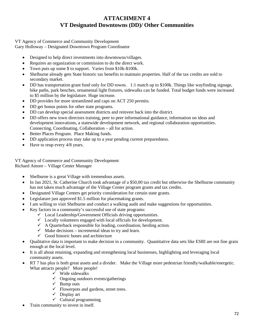## **ATTACHMENT 4 VT Designated Downtowns (DD)/ Other Communities**

VT Agency of Commerce and Community Development Gary Holloway – Designated Downtown Program Coordinator

- Designed to help direct investments into downtowns/villages.
- Requires an organization or commission to do the direct work.
- Town puts up some \$ to support. Varies from \$10k-\$100k.
- Shelburne already gets State historic tax benefits to maintain properties. Half of the tax credits are sold to secondary market.
- DD has transportation grant fund only for DD towns. 1:1 match up to \$100k. Things like wayfinding signage, bike paths, park benches, ornamental light fixtures, sidewalks can be funded. Total budget funds were increased to \$5 million by the legislature. Huge increase.
- DD provides for more streamlined and caps on ACT 250 permits.
- DD get bonus points for other state programs.
- DD can develop special assessment districts and reinvest back into the district.
- DD offers new town directors training, peer to peer informational guidance, information on ideas and development innovations, a statewide development network, and regional collaboration opportunities. Connecting, Coordinating, Collaboration – all for action.
- Better Places Program. Place Making funds.
- DD application process may take up to a year pending current preparedness.
- Have to reup every  $4/8$  years.

VT Agency of Commerce and Community Development Richard Amore – Village Center Manager

- Shelburne is a great Village with tremendous assets.
- In Jan 2021, St. Catherine Church took advantage of a \$50,00 tax credit but otherwise the Shelburne community has not taken much advantage of the Village Center program grants and tax credits.
- Designated Village Centers get priority consideration for certain state grants.
- Legislature just approved \$1.5 million for placemaking grants.
- I am willing to visit Shelburne and conduct a walking audit and make suggestions for opportunities.
- Key factors in a community's successful use of state programs:
	- $\checkmark$  Local Leadership/Government Officials driving opportunities.
	- $\checkmark$  Locally volunteers engaged with local officials for development.
	- $\checkmark$  A Quarterback responsible for leading, coordination, herding action.
	- $\checkmark$  Make decisions incremental ideas to try and learn.
	- $\checkmark$  Good historic bones and architecture
- Qualitative data is important to make decision in a community. Quantitative data sets like ESRI are not fine grain enough at the local level.
- It is all about retaining, expanding and strengthening local businesses, highlighting and leveraging local community assets.
- RT 7 has plus is both great assets and a divider. Make the Village more pedestrian friendly/walkable/energetic. What attracts people? More people!
	- $\checkmark$  Wide sidewalks
	- $\checkmark$  Ongoing outdoors events/gatherings
	- $\checkmark$  Bump outs
	- $\checkmark$  Flowerpots and gardens, street trees.
	- $\checkmark$  Display art
	- $\checkmark$  Cultural programming
- Train community to invest in itself.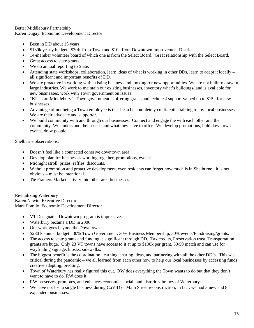Better Middlebury Partnership Karen Dugay, Economic Development Director

- Been in DD about 15 years.
- \$130k yearly budget. \$30K from Town and \$10k from Downtown Improvement District.
- 14-member volunteer board of which one is from the Select Board. Great relationship with the Select Board.
- Great access to state grants.
- We do annual reporting to State.
- Attending state workshops, collaboration, learn ideas of what is working in other DDs, learn to adapt it locally all significant and important benefits of DD.
- We are proactive in working with existing business and looking for new opportunities. We are not built to draw in large industries. We work to maintain our existing businesses, inventory what's buildings/land is available for new businesses, work with Town government on issues.
- "Kickstart Middlebury": Town government is offering grants and technical support valued up to \$15k for new businesses.
- Advantage of not being a Town employee is that I can be completely confidential talking to my local businesses. We are their advocate and supporter.
- We build community with and through our businesses. Connect and engage the with each other and the community. We understand their needs and what they have to offer. We develop promotions, hold downtown events, draw people.

Shelburne observations:

- Doesn't feel like a connected cohesive downtown area.
- Develop plan for businesses working together, promotions, events.
- Midnight stroll, prizes, raffles, discounts.
- Without promotion and proactive development, even residents can forget how much is in Shelburne. It is not obvious – must be intentional.
- Tie Framers Market activity into other area businesses.

Revitalizing Waterbury Karen Newin, Executive Director Mark Pomilo, Economic Development Director

- VT Designated Downtown program is impressive.
- Waterbury became a DD in 2006.
- Our work goes beyond the Downtown.
- \$230 k annual budget. 30% Town Government, 30% Business Membership, 30% events/Fundraising/grants.
- The access to state grants and funding is significant through DD. Tax credits, Preservation trust. Transportation grants are huge. Only 23 VT towns have access to it at up to \$100k per grant. 50/50 match and can use for wayfinding signage, kiosks, sidewalks.
- The biggest benefit is the coordination, learning, sharing ideas, and partnering with all the other DD's. This was critical during the pandemic – we all learned from each other how to help our local businesses by accessing funds, creative adapting, pivoting.
- Town of Waterbury has really figured this out. RW does everything the Town wants to do but that they don't want to have to do. RW does it.
- RW preserves, promotes, and enhances economic, social, and historic vibrancy of Waterbury.
- We have not lost a single business during CoVID or Main Street reconstruction; in fact, we had 3 new and 8 expanded businesses.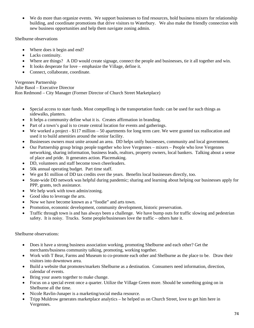• We do more than organize events. We support businesses to find resources, hold business mixers for relationship building, and coordinate promotions that drive visitors to Waterbury. We also make the friendly connection with new business opportunities and help them navigate zoning admin.

Shelburne observations

- Where does it begin and end?
- Lacks continuity.
- Where are things? A DD would create signage, connect the people and businesses, tie it all together and win.
- It looks desperate for love emphasize the Village, define it.
- Connect, collaborate, coordinate.

Vergennes Partnership Julie Basol – Executive Director Ron Redmond – City Manager (Former Director of Church Street Marketplace)

- Special access to state funds. Most compelling is the transportation funds: can be used for such things as sidewalks, planters.
- It helps a community define what it is. Creates affirmation in branding.
- Part of a town's goal is to create central location for events and gatherings.
- We worked a project \$117 million 50 apartments for long term care. We were granted tax reallocation and used it to build amenities around the senior facility.
- Businesses owners must unite around an area. DD helps unify businesses, community and local government.
- Our Partnership group brings people together who love Vergennes mixers People who love Vergennes networking, sharing information, business leads, realtors, property owners, local bankers. Talking about a sense of place and pride. It generates action. Placemaking.
- DD, volunteers and staff become town cheerleaders.
- 50k annual operating budget. Part time staff.
- We got \$1 million of DD tax credits over the years. Benefits local businesses directly, too.
- State-wide DD network was helpful during pandemic; sharing and learning about helping our businesses apply for PPP, grants, tech assistance.
- We help work with town admin/zoning.
- Good idea to leverage the arts.
- Now we have become known as a "foodie" and arts town.
- Promotion, economic development, community development, historic preservation.
- Traffic through town is and has always been a challenge. We have bump outs for traffic slowing and pedestrian safety. It is noisy. Trucks. Some people/businesses love the traffic – others hate it.

Shelburne observations:

- Does it have a strong business association working, promoting Shelburne and each other? Get the merchants/business community talking, promoting, working together.
- Work with T Bear, Farms and Museum to co-promote each other and Shelburne as the place to be. Draw their visitors into downtown area.
- Build a website that promotes/markets Shelburne as a destination. Consumers need information, direction, calendar of events.
- Bring your assets together to make change.
- Focus on a special event once a quarter. Utilize the Village Green more. Should be something going on in Shelburne all the time.
- Nicole Ravlin-Junaper is a marketing/social media resource.
- Tripp Muldrow generates marketplace analytics he helped us on Church Street, love to get him here in Vergennes.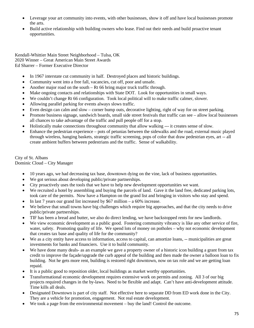- Leverage your art community into events, with other businesses, show it off and have local businesses promote the arts.
- Build active relationship with building owners who lease. Find out their needs and build proactive tenant opportunities.

Kendall-Whittier Main Street Neighborhood – Tulsa, OK 2020 Winner – Great American Main Street Awards Ed Sharrer – Former Executive Director

- In 1967 interstate cut community in half. Destroyed places and historic buildings.
- Community went into a free fall, vacancies, cut off, poor and unsafe.
- Another major road on the south Rt 66 bring major truck traffic through.
- Make ongoing contacts and relationships with State DOT. Look for opportunities in small ways.
- We couldn't change Rt 66 configuration. Took local political will to make traffic calmer, slower.
- Allowing parallel parking for events always slows traffic.
- Even design can calm and slow corner bump outs, decorative lighting, right of way for on street parking.
- Promote business signage, sandwich boards, small side street festivals that traffic can see allow local businesses all chances to take advantage of the traffic and pull people off for a stop.
- Holistically make connections throughout community that allow walking --- it creates sense of slow.
- Enhance the pedestrian experience pots of petunias between the sidewalks and the road, external music played through wireless, hanging baskets, strategic traffic screening, pops of color that draw pedestrian eyes, art -- all create ambient buffers between pedestrians and the traffic. Sense of walkability.

City of St. Albans Dominic Cloud – City Manager

- 10 years ago, we had decreasing tax base, downtown dying on the vine, lack of business opportunities.
- We got serious about developing public/private partnerships.
- City proactively uses the tools that we have to help new development opportunities we want.
- We recruited a hotel by assembling and buying the parcels of land. Gave it the land free, dedicated parking lots, took care of the permits. Now have a Hampton on the grand list and bringing in visitors who stay and spend.
- In last 7 years our grand list increased by  $$67$  million a 60% increase.
- We believe that small towns have big challenges which require big approaches, and that the city needs to drive public/private partnerships.
- TIF has been a bread and butter, we also do direct lending, we have backstopped rents for new landlords.
- We view economic development as a public good. Fostering community vibrancy is like any other service of fire, water, safety. Promoting quality of life. We spend lots of money on potholes – why not economic development that creates tax base and quality of life for the community?
- We as a city entity have access to information, access to capital, can amortize loans, -- municipalities are great investments for banks and financiers. Use it to build community.
- We have done many deals- as an example we gave a property owner of a historic icon building a grant from tax credit to improve the façade/upgrade the curb appeal of the building and then made the owner a balloon loan to fix building. Not he gets more rent, building is restored right downtown, now on tax role and we are getting loan repaid.
- It is a public good to reposition older, local buildings as market worthy opportunities.
- Transformational economic development requires extensive work on permits and zoning. All 3 of our big projects required changes in the by-laws. Need to be flexible and adapt. Can't have anti-development attitude. Time kills all deals.
- Designated Downtown is part of city staff. Not effective here to separate DD from ED work done in the City. They are a vehicle for promotion, engagement. Not real estate development.
- We took a page from the environmental movement buy the land! Control the outcome.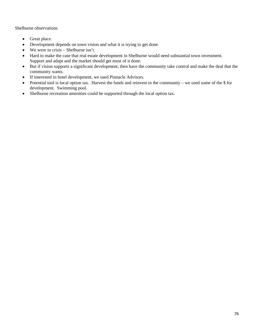Shelburne observations

- Great place.
- Development depends on town vision and what it is trying to get done.
- We were in crisis Shelburne isn't.
- Hard to make the case that real estate development in Shelburne would need substantial town investment. Support and adapt and the market should get most of it done.
- But if vision supports a significant development, then have the community take control and make the deal that the community wants.
- If interested in hotel development, we used Pinnacle Advisors.
- Potential tool is local option tax. Harvest the funds and reinvest in the community we used some of the \$ for development. Swimming pool.
- Shelburne recreation amenities could be supported through the local option tax.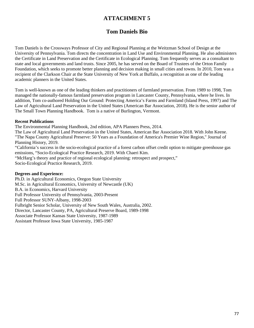### **ATTACHMENT 5**

# **Tom Daniels Bio**

Tom Daniels is the Crossways Professor of City and Regional Planning at the Weitzman School of Design at the University of Pennsylvania. Tom directs the concentration in Land Use and Environmental Planning. He also administers the Certificate in Land Preservation and the Certificate in Ecological Planning. Tom frequently serves as a consultant to state and local governments and land trusts. Since 2005, he has served on the Board of Trustees of the Orton Family Foundation, which seeks to promote better planning and decision making in small cities and towns. In 2010, Tom was a recipient of the Clarkson Chair at the State University of New York at Buffalo, a recognition as one of the leading academic planners in the United States.

Tom is well-known as one of the leading thinkers and practitioners of farmland preservation. From 1989 to 1998, Tom managed the nationally-famous farmland preservation program in Lancaster County, Pennsylvania, where he lives. In addition, Tom co-authored Holding Our Ground: Protecting America's Farms and Farmland (Island Press, 1997) and The Law of Agricultural Land Preservation in the United States (American Bar Association, 2018). He is the senior author of The Small Town Planning Handbook. Tom is a native of Burlington, Vermont.

#### **Recent Publications**

The Environmental Planning Handbook, 2nd edition, APA Planners Press, 2014.

The Law of Agricultural Land Preservation in the United States, American Bar Association 2018. With John Keene. "The Napa County Agricultural Preserve: 50 Years as a Foundation of America's Premier Wine Region," Journal of Planning History, 2019.

"California's success in the socio-ecological practice of a forest carbon offset credit option to mitigate greenhouse gas emissions, "Socio-Ecological Practice Research, 2019. With Chaeri Kim.

"McHarg's theory and practice of regional ecological planning: retrospect and prospect," Socio-Ecological Practice Research, 2019.

### **Degrees and Experience:**

Ph.D. in Agricultural Economics, Oregon State University M.Sc. in Agricultural Economics, University of Newcastle (UK) B.A. in Economics, Harvard University Full Professor University of Pennsylvania, 2003-Present Full Professor SUNY-Albany, 1998-2003 Fulbright Senior Scholar, University of New South Wales, Australia, 2002. Director, Lancaster County, PA, Agricultural Preserve Board, 1989-1998 Associate Professor Kansas State University, 1987-1989 Assistant Professor Iowa State University, 1985-1987